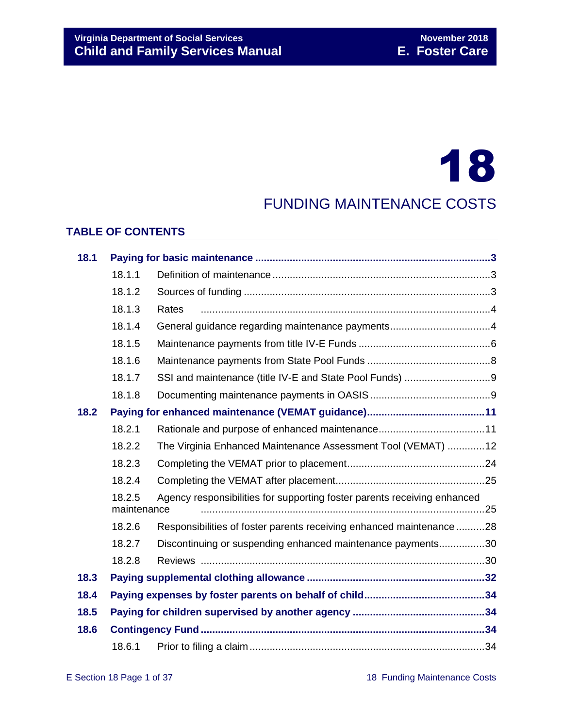# 18

# FUNDING MAINTENANCE COSTS

#### **TABLE OF CONTENTS**

| 18.1 |                                                                                                   |                                                                     |  |  |  |  |  |
|------|---------------------------------------------------------------------------------------------------|---------------------------------------------------------------------|--|--|--|--|--|
|      | 18.1.1                                                                                            |                                                                     |  |  |  |  |  |
|      | 18.1.2                                                                                            |                                                                     |  |  |  |  |  |
|      | 18.1.3                                                                                            | Rates                                                               |  |  |  |  |  |
|      | 18.1.4                                                                                            |                                                                     |  |  |  |  |  |
|      | 18.1.5                                                                                            |                                                                     |  |  |  |  |  |
|      | 18.1.6                                                                                            |                                                                     |  |  |  |  |  |
|      | 18.1.7                                                                                            |                                                                     |  |  |  |  |  |
|      | 18.1.8                                                                                            |                                                                     |  |  |  |  |  |
| 18.2 |                                                                                                   |                                                                     |  |  |  |  |  |
|      | 18.2.1                                                                                            |                                                                     |  |  |  |  |  |
|      | 18.2.2                                                                                            | The Virginia Enhanced Maintenance Assessment Tool (VEMAT) 12        |  |  |  |  |  |
|      | 18.2.3                                                                                            |                                                                     |  |  |  |  |  |
|      | 18.2.4                                                                                            |                                                                     |  |  |  |  |  |
|      | Agency responsibilities for supporting foster parents receiving enhanced<br>18.2.5<br>maintenance |                                                                     |  |  |  |  |  |
|      | 18.2.6                                                                                            | Responsibilities of foster parents receiving enhanced maintenance28 |  |  |  |  |  |
|      | 18.2.7<br>Discontinuing or suspending enhanced maintenance payments30                             |                                                                     |  |  |  |  |  |
|      | 18.2.8                                                                                            |                                                                     |  |  |  |  |  |
| 18.3 |                                                                                                   |                                                                     |  |  |  |  |  |
| 18.4 |                                                                                                   |                                                                     |  |  |  |  |  |
| 18.5 |                                                                                                   |                                                                     |  |  |  |  |  |
| 18.6 |                                                                                                   |                                                                     |  |  |  |  |  |
|      | 18.6.1                                                                                            |                                                                     |  |  |  |  |  |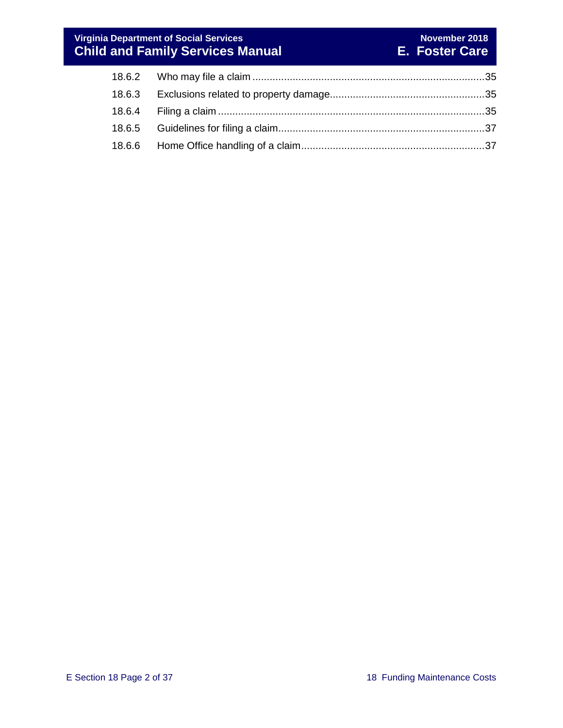#### **Virginia Department of Social Services November 2018 Child and Family Services Manual E. Foster Care**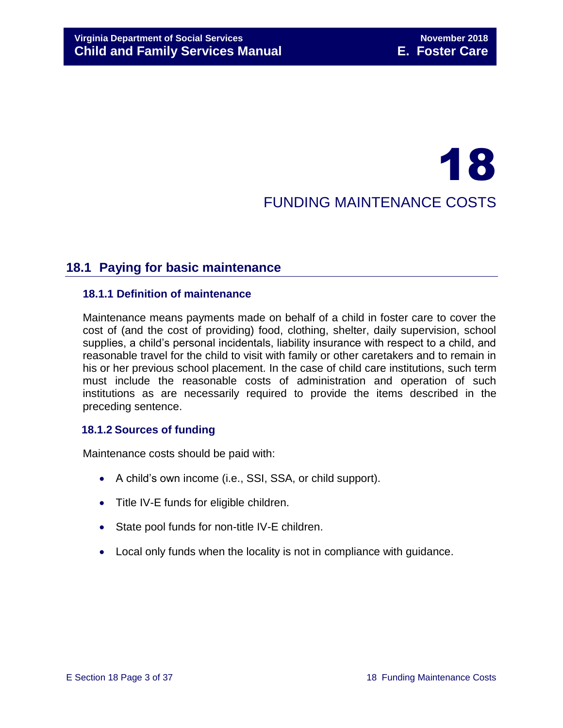# 18 FUNDING MAINTENANCE COSTS

# <span id="page-2-0"></span>**18.1 Paying for basic maintenance**

#### <span id="page-2-1"></span>**18.1.1 Definition of maintenance**

Maintenance means payments made on behalf of a child in foster care to cover the cost of (and the cost of providing) food, clothing, shelter, daily supervision, school supplies, a child's personal incidentals, liability insurance with respect to a child, and reasonable travel for the child to visit with family or other caretakers and to remain in his or her previous school placement. In the case of child care institutions, such term must include the reasonable costs of administration and operation of such institutions as are necessarily required to provide the items described in the preceding sentence.

#### <span id="page-2-2"></span>**18.1.2 Sources of funding**

Maintenance costs should be paid with:

- A child's own income (i.e., SSI, SSA, or child support).
- Title IV-E funds for eligible children.
- State pool funds for non-title IV-E children.
- Local only funds when the locality is not in compliance with guidance.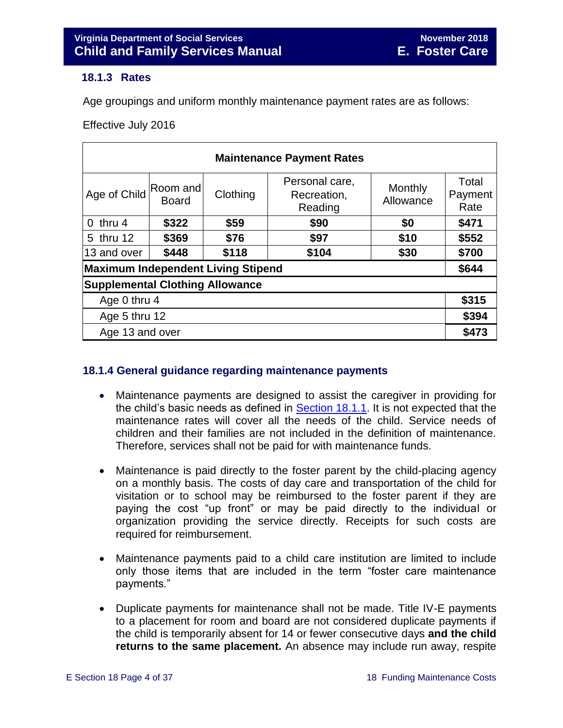#### <span id="page-3-2"></span><span id="page-3-0"></span>**18.1.3 Rates**

Age groupings and uniform monthly maintenance payment rates are as follows:

Effective July 2016

| <b>Maintenance Payment Rates</b>       |                   |          |                                          |                      |                          |  |  |  |  |
|----------------------------------------|-------------------|----------|------------------------------------------|----------------------|--------------------------|--|--|--|--|
| Age of Child                           | Room and<br>Board | Clothing | Personal care,<br>Recreation,<br>Reading | Monthly<br>Allowance | Total<br>Payment<br>Rate |  |  |  |  |
| $0$ thru 4                             | \$322             | \$59     | \$90                                     | \$0                  | \$471                    |  |  |  |  |
| 5 thru 12                              | \$369             | \$76     | \$97                                     | \$10                 | \$552                    |  |  |  |  |
| 13 and over                            | \$448             | \$118    | \$104                                    | \$30                 | \$700                    |  |  |  |  |
| Maximum Independent Living Stipend     |                   |          |                                          |                      |                          |  |  |  |  |
| <b>Supplemental Clothing Allowance</b> |                   |          |                                          |                      |                          |  |  |  |  |
| Age 0 thru 4                           |                   |          |                                          |                      |                          |  |  |  |  |
| Age 5 thru 12                          |                   |          |                                          |                      |                          |  |  |  |  |
| Age 13 and over                        |                   |          |                                          |                      |                          |  |  |  |  |

#### <span id="page-3-1"></span>**18.1.4 General guidance regarding maintenance payments**

- Maintenance payments are designed to assist the caregiver in providing for the child's basic needs as defined in Section 18.1.1. It is not expected that the maintenance rates will cover all the needs of the child. Service needs of children and their families are not included in the definition of maintenance. Therefore, services shall not be paid for with maintenance funds.
- Maintenance is paid directly to the foster parent by the child-placing agency on a monthly basis. The costs of day care and transportation of the child for visitation or to school may be reimbursed to the foster parent if they are paying the cost "up front" or may be paid directly to the individual or organization providing the service directly. Receipts for such costs are required for reimbursement.
- Maintenance payments paid to a child care institution are limited to include only those items that are included in the term "foster care maintenance payments."
- Duplicate payments for maintenance shall not be made. Title IV-E payments to a placement for room and board are not considered duplicate payments if the child is temporarily absent for 14 or fewer consecutive days **and the child returns to the same placement.** An absence may include run away, respite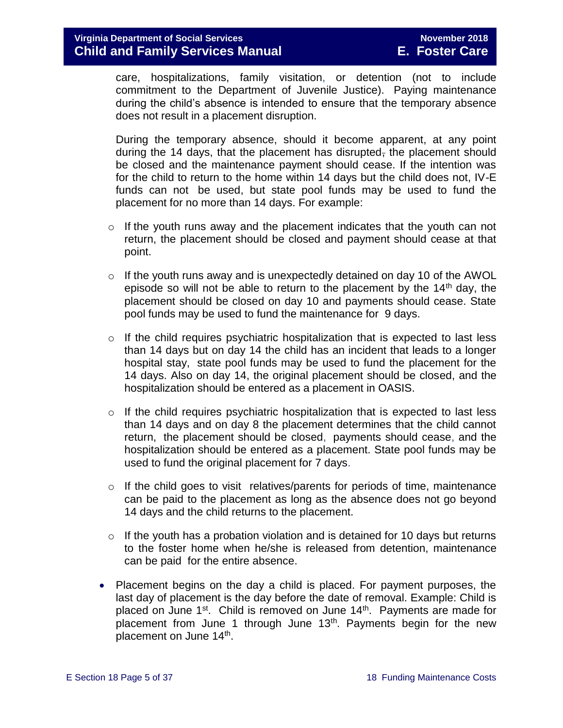care, hospitalizations, family visitation, or detention (not to include commitment to the Department of Juvenile Justice). Paying maintenance during the child's absence is intended to ensure that the temporary absence does not result in a placement disruption.

During the temporary absence, should it become apparent, at any point during the 14 days, that the placement has disrupted, the placement should be closed and the maintenance payment should cease. If the intention was for the child to return to the home within 14 days but the child does not, IV-E funds can not be used, but state pool funds may be used to fund the placement for no more than 14 days. For example:

- o If the youth runs away and the placement indicates that the youth can not return, the placement should be closed and payment should cease at that point.
- $\circ$  If the youth runs away and is unexpectedly detained on day 10 of the AWOL episode so will not be able to return to the placement by the  $14<sup>th</sup>$  day, the placement should be closed on day 10 and payments should cease. State pool funds may be used to fund the maintenance for 9 days.
- $\circ$  If the child requires psychiatric hospitalization that is expected to last less than 14 days but on day 14 the child has an incident that leads to a longer hospital stay, state pool funds may be used to fund the placement for the 14 days. Also on day 14, the original placement should be closed, and the hospitalization should be entered as a placement in OASIS.
- $\circ$  If the child requires psychiatric hospitalization that is expected to last less than 14 days and on day 8 the placement determines that the child cannot return, the placement should be closed, payments should cease, and the hospitalization should be entered as a placement. State pool funds may be used to fund the original placement for 7 days.
- $\circ$  If the child goes to visit relatives/parents for periods of time, maintenance can be paid to the placement as long as the absence does not go beyond 14 days and the child returns to the placement.
- $\circ$  If the youth has a probation violation and is detained for 10 days but returns to the foster home when he/she is released from detention, maintenance can be paid for the entire absence.
- Placement begins on the day a child is placed. For payment purposes, the last day of placement is the day before the date of removal. Example: Child is placed on June 1<sup>st</sup>. Child is removed on June 14<sup>th</sup>. Payments are made for placement from June 1 through June  $13<sup>th</sup>$ . Payments begin for the new placement on June 14<sup>th</sup>.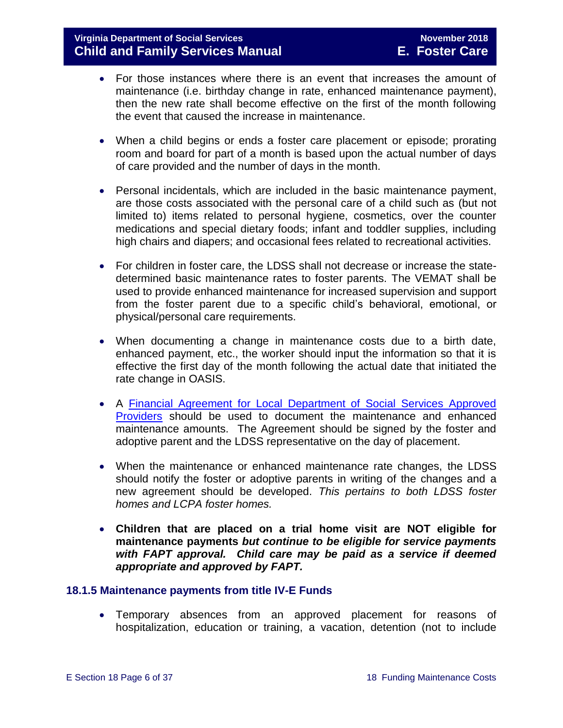- For those instances where there is an event that increases the amount of maintenance (i.e. birthday change in rate, enhanced maintenance payment), then the new rate shall become effective on the first of the month following the event that caused the increase in maintenance.
- When a child begins or ends a foster care placement or episode; prorating room and board for part of a month is based upon the actual number of days of care provided and the number of days in the month.
- Personal incidentals, which are included in the basic maintenance payment, are those costs associated with the personal care of a child such as (but not limited to) items related to personal hygiene, cosmetics, over the counter medications and special dietary foods; infant and toddler supplies, including high chairs and diapers; and occasional fees related to recreational activities.
- For children in foster care, the LDSS shall not decrease or increase the statedetermined basic maintenance rates to foster parents. The VEMAT shall be used to provide enhanced maintenance for increased supervision and support from the foster parent due to a specific child's behavioral, emotional, or physical/personal care requirements.
- When documenting a change in maintenance costs due to a birth date, enhanced payment, etc., the worker should input the information so that it is effective the first day of the month following the actual date that initiated the rate change in OASIS.
- A [Financial Agreement for Local Department of Social Services Approved](http://spark.dss.virginia.gov/divisions/dfs/resource_family/files/forms/032-02-0052-04-eng.xlsx)  [Providers](http://spark.dss.virginia.gov/divisions/dfs/resource_family/files/forms/032-02-0052-04-eng.xlsx) should be used to document the maintenance and enhanced maintenance amounts. The Agreement should be signed by the foster and adoptive parent and the LDSS representative on the day of placement.
- When the maintenance or enhanced maintenance rate changes, the LDSS should notify the foster or adoptive parents in writing of the changes and a new agreement should be developed. *This pertains to both LDSS foster homes and LCPA foster homes.*
- **Children that are placed on a trial home visit are NOT eligible for maintenance payments** *but continue to be eligible for service payments with FAPT approval.**Child care may be paid as a service if deemed appropriate and approved by FAPT.*

#### <span id="page-5-0"></span>**18.1.5 Maintenance payments from title IV-E Funds**

 Temporary absences from an approved placement for reasons of hospitalization, education or training, a vacation, detention (not to include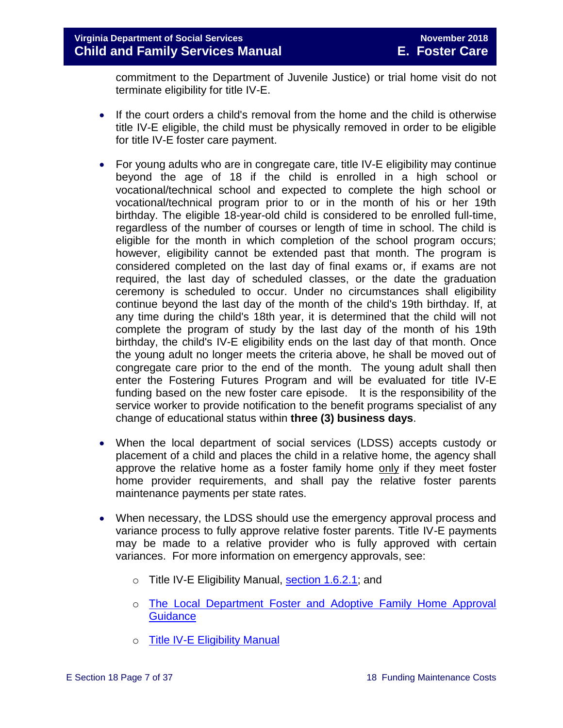commitment to the Department of Juvenile Justice) or trial home visit do not terminate eligibility for title IV-E.

- If the court orders a child's removal from the home and the child is otherwise title IV-E eligible, the child must be physically removed in order to be eligible for title IV-E foster care payment.
- For young adults who are in congregate care, title IV-E eligibility may continue beyond the age of 18 if the child is enrolled in a high school or vocational/technical school and expected to complete the high school or vocational/technical program prior to or in the month of his or her 19th birthday. The eligible 18-year-old child is considered to be enrolled full-time, regardless of the number of courses or length of time in school. The child is eligible for the month in which completion of the school program occurs; however, eligibility cannot be extended past that month. The program is considered completed on the last day of final exams or, if exams are not required, the last day of scheduled classes, or the date the graduation ceremony is scheduled to occur. Under no circumstances shall eligibility continue beyond the last day of the month of the child's 19th birthday. If, at any time during the child's 18th year, it is determined that the child will not complete the program of study by the last day of the month of his 19th birthday, the child's IV-E eligibility ends on the last day of that month. Once the young adult no longer meets the criteria above, he shall be moved out of congregate care prior to the end of the month. The young adult shall then enter the Fostering Futures Program and will be evaluated for title IV-E funding based on the new foster care episode. It is the responsibility of the service worker to provide notification to the benefit programs specialist of any change of educational status within **three (3) business days**.
- When the local department of social services (LDSS) accepts custody or placement of a child and places the child in a relative home, the agency shall approve the relative home as a foster family home only if they meet foster home provider requirements, and shall pay the relative foster parents maintenance payments per state rates.
- When necessary, the LDSS should use the emergency approval process and variance process to fully approve relative foster parents. Title IV-E payments may be made to a relative provider who is fully approved with certain variances. For more information on emergency approvals, see:
	- o Title IV-E Eligibility Manual, [section 1.6.2.1;](http://www.dss.virginia.gov/files/division/dfs/iv_e/manuals/title_IV-E_Foster_Care_Manual_July_2016.pdf) and
	- o The Local Department [Foster and Adoptive Family Home Approval](http://www.dss.virginia.gov/files/division/dfs/fc/intro_page/guidance_manuals/other/gudiance_2_13.pdf)  **[Guidance](http://www.dss.virginia.gov/files/division/dfs/fc/intro_page/guidance_manuals/other/gudiance_2_13.pdf)**
	- o [Title IV-E Eligibility Manual](http://www.dss.virginia.gov/files/division/dfs/iv_e/manuals/title_IV-E_Foster_Care_Manual_July_2016.pdf)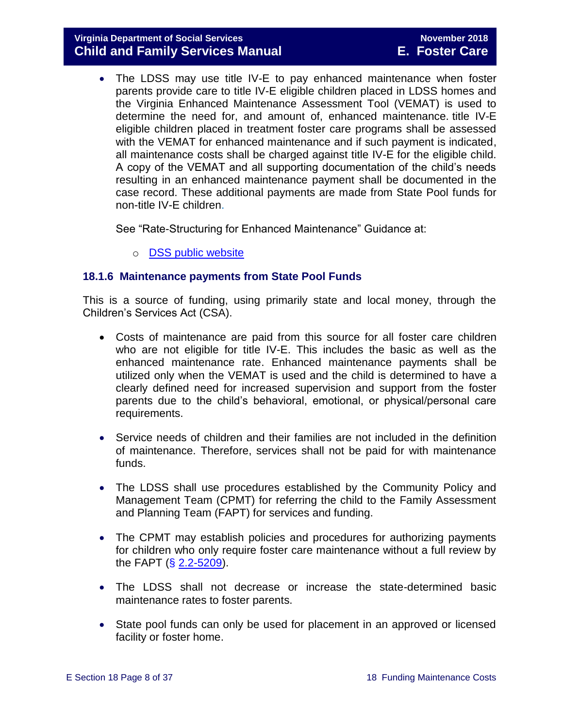#### **Virginia Department of Social Services November 2018 Child and Family Services Manual E. Foster Care**

 The LDSS may use title IV-E to pay enhanced maintenance when foster parents provide care to title IV-E eligible children placed in LDSS homes and the Virginia Enhanced Maintenance Assessment Tool (VEMAT) is used to determine the need for, and amount of, enhanced maintenance. title IV-E eligible children placed in treatment foster care programs shall be assessed with the VEMAT for enhanced maintenance and if such payment is indicated, all maintenance costs shall be charged against title IV-E for the eligible child. A copy of the VEMAT and all supporting documentation of the child's needs resulting in an enhanced maintenance payment shall be documented in the case record. These additional payments are made from State Pool funds for non-title IV-E children.

See "Rate-Structuring for Enhanced Maintenance" Guidance at:

o [DSS public website](http://www.dss.virginia.gov/family/fc/index.cgi)

#### <span id="page-7-0"></span>**18.1.6 Maintenance payments from State Pool Funds**

This is a source of funding, using primarily state and local money, through the Children's Services Act (CSA).

- Costs of maintenance are paid from this source for all foster care children who are not eligible for title IV-E. This includes the basic as well as the enhanced maintenance rate. Enhanced maintenance payments shall be utilized only when the VEMAT is used and the child is determined to have a clearly defined need for increased supervision and support from the foster parents due to the child's behavioral, emotional, or physical/personal care requirements.
- Service needs of children and their families are not included in the definition of maintenance. Therefore, services shall not be paid for with maintenance funds.
- The LDSS shall use procedures established by the Community Policy and Management Team (CPMT) for referring the child to the Family Assessment and Planning Team (FAPT) for services and funding.
- The CPMT may establish policies and procedures for authorizing payments for children who only require foster care maintenance without a full review by the FAPT  $(\S$  [2.2-5209\)](http://law.lis.virginia.gov/vacode/2.2-5209/).
- The LDSS shall not decrease or increase the state-determined basic maintenance rates to foster parents.
- State pool funds can only be used for placement in an approved or licensed facility or foster home.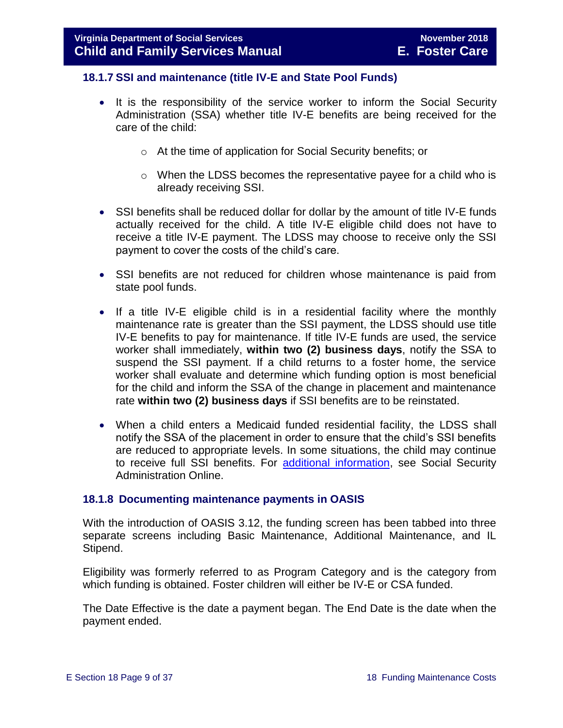#### <span id="page-8-0"></span>**18.1.7 SSI and maintenance (title IV-E and State Pool Funds)**

- It is the responsibility of the service worker to inform the Social Security Administration (SSA) whether title IV-E benefits are being received for the care of the child:
	- o At the time of application for Social Security benefits; or
	- $\circ$  When the LDSS becomes the representative payee for a child who is already receiving SSI.
- SSI benefits shall be reduced dollar for dollar by the amount of title IV-E funds actually received for the child. A title IV-E eligible child does not have to receive a title IV-E payment. The LDSS may choose to receive only the SSI payment to cover the costs of the child's care.
- SSI benefits are not reduced for children whose maintenance is paid from state pool funds.
- $\bullet$  If a title IV-E eligible child is in a residential facility where the monthly maintenance rate is greater than the SSI payment, the LDSS should use title IV-E benefits to pay for maintenance. If title IV-E funds are used, the service worker shall immediately, **within two (2) business days**, notify the SSA to suspend the SSI payment. If a child returns to a foster home, the service worker shall evaluate and determine which funding option is most beneficial for the child and inform the SSA of the change in placement and maintenance rate **within two (2) business days** if SSI benefits are to be reinstated.
- When a child enters a Medicaid funded residential facility, the LDSS shall notify the SSA of the placement in order to ensure that the child's SSI benefits are reduced to appropriate levels. In some situations, the child may continue to receive full SSI benefits. For [additional information,](https://secure.ssa.gov/apps10/poms.nsf/lnx/0500520140) see Social Security Administration Online.

#### <span id="page-8-1"></span>**18.1.8 Documenting maintenance payments in OASIS**

With the introduction of OASIS 3.12, the funding screen has been tabbed into three separate screens including Basic Maintenance, Additional Maintenance, and IL Stipend.

Eligibility was formerly referred to as Program Category and is the category from which funding is obtained. Foster children will either be IV-E or CSA funded.

The Date Effective is the date a payment began. The End Date is the date when the payment ended.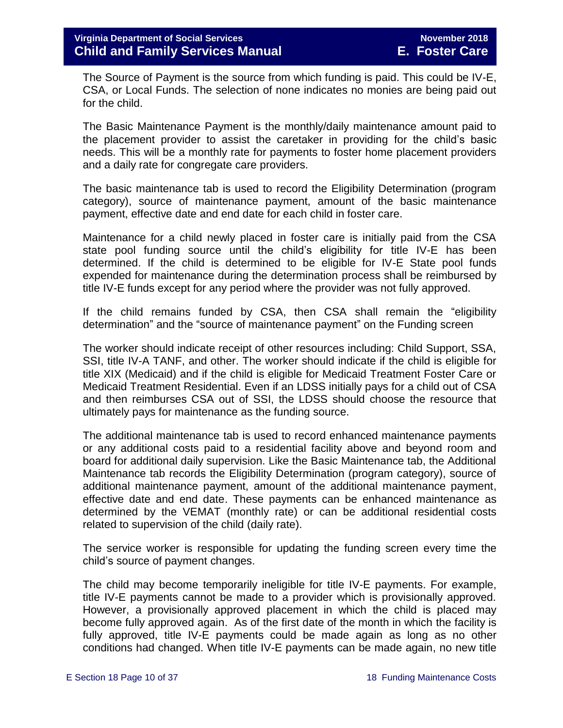The Source of Payment is the source from which funding is paid. This could be IV-E, CSA, or Local Funds. The selection of none indicates no monies are being paid out for the child.

The Basic Maintenance Payment is the monthly/daily maintenance amount paid to the placement provider to assist the caretaker in providing for the child's basic needs. This will be a monthly rate for payments to foster home placement providers and a daily rate for congregate care providers.

The basic maintenance tab is used to record the Eligibility Determination (program category), source of maintenance payment, amount of the basic maintenance payment, effective date and end date for each child in foster care.

Maintenance for a child newly placed in foster care is initially paid from the CSA state pool funding source until the child's eligibility for title IV-E has been determined. If the child is determined to be eligible for IV-E State pool funds expended for maintenance during the determination process shall be reimbursed by title IV-E funds except for any period where the provider was not fully approved.

If the child remains funded by CSA, then CSA shall remain the "eligibility determination" and the "source of maintenance payment" on the Funding screen

The worker should indicate receipt of other resources including: Child Support, SSA, SSI, title IV-A TANF, and other. The worker should indicate if the child is eligible for title XIX (Medicaid) and if the child is eligible for Medicaid Treatment Foster Care or Medicaid Treatment Residential. Even if an LDSS initially pays for a child out of CSA and then reimburses CSA out of SSI, the LDSS should choose the resource that ultimately pays for maintenance as the funding source.

The additional maintenance tab is used to record enhanced maintenance payments or any additional costs paid to a residential facility above and beyond room and board for additional daily supervision. Like the Basic Maintenance tab, the Additional Maintenance tab records the Eligibility Determination (program category), source of additional maintenance payment, amount of the additional maintenance payment, effective date and end date. These payments can be enhanced maintenance as determined by the VEMAT (monthly rate) or can be additional residential costs related to supervision of the child (daily rate).

The service worker is responsible for updating the funding screen every time the child's source of payment changes.

The child may become temporarily ineligible for title IV-E payments. For example, title IV-E payments cannot be made to a provider which is provisionally approved. However, a provisionally approved placement in which the child is placed may become fully approved again. As of the first date of the month in which the facility is fully approved, title IV-E payments could be made again as long as no other conditions had changed. When title IV-E payments can be made again, no new title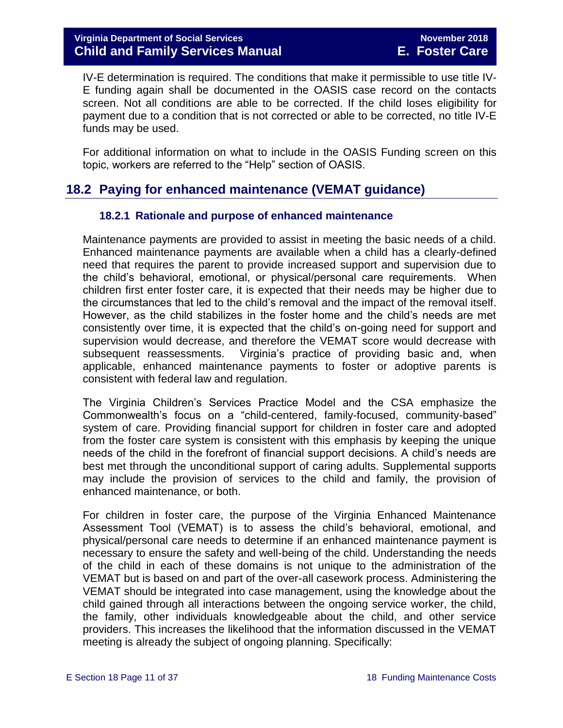IV-E determination is required. The conditions that make it permissible to use title IV-E funding again shall be documented in the OASIS case record on the contacts screen. Not all conditions are able to be corrected. If the child loses eligibility for payment due to a condition that is not corrected or able to be corrected, no title IV-E funds may be used.

For additional information on what to include in the OASIS Funding screen on this topic, workers are referred to the "Help" section of OASIS.

# <span id="page-10-0"></span>**18.2 Paying for enhanced maintenance (VEMAT guidance)**

#### <span id="page-10-1"></span>**18.2.1 Rationale and purpose of enhanced maintenance**

Maintenance payments are provided to assist in meeting the basic needs of a child. Enhanced maintenance payments are available when a child has a clearly-defined need that requires the parent to provide increased support and supervision due to the child's behavioral, emotional, or physical/personal care requirements. When children first enter foster care, it is expected that their needs may be higher due to the circumstances that led to the child's removal and the impact of the removal itself. However, as the child stabilizes in the foster home and the child's needs are met consistently over time, it is expected that the child's on-going need for support and supervision would decrease, and therefore the VEMAT score would decrease with subsequent reassessments. Virginia's practice of providing basic and, when applicable, enhanced maintenance payments to foster or adoptive parents is consistent with federal law and regulation.

The Virginia Children's Services Practice Model and the CSA emphasize the Commonwealth's focus on a "child-centered, family-focused, community-based" system of care. Providing financial support for children in foster care and adopted from the foster care system is consistent with this emphasis by keeping the unique needs of the child in the forefront of financial support decisions. A child's needs are best met through the unconditional support of caring adults. Supplemental supports may include the provision of services to the child and family, the provision of enhanced maintenance, or both.

For children in foster care, the purpose of the Virginia Enhanced Maintenance Assessment Tool (VEMAT) is to assess the child's behavioral, emotional, and physical/personal care needs to determine if an enhanced maintenance payment is necessary to ensure the safety and well-being of the child. Understanding the needs of the child in each of these domains is not unique to the administration of the VEMAT but is based on and part of the over-all casework process. Administering the VEMAT should be integrated into case management, using the knowledge about the child gained through all interactions between the ongoing service worker, the child, the family, other individuals knowledgeable about the child, and other service providers. This increases the likelihood that the information discussed in the VEMAT meeting is already the subject of ongoing planning. Specifically: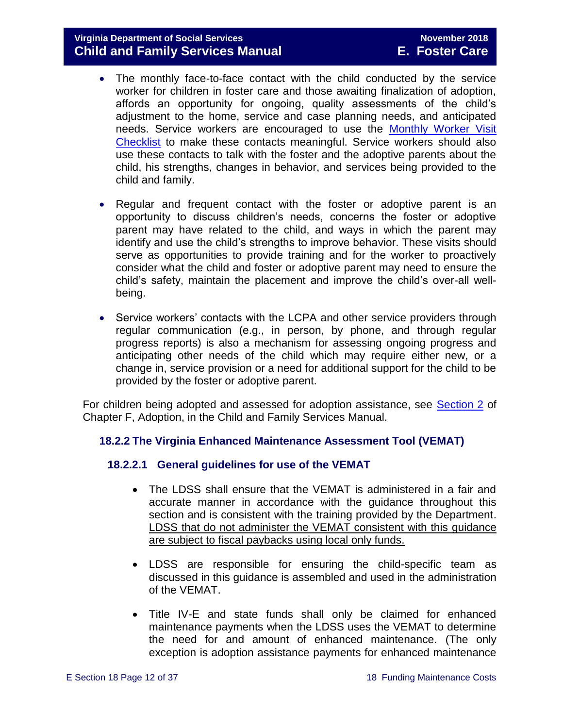#### **Virginia Department of Social Services November 2018 Child and Family Services Manual E. Foster Care**

- The monthly face-to-face contact with the child conducted by the service worker for children in foster care and those awaiting finalization of adoption, affords an opportunity for ongoing, quality assessments of the child's adjustment to the home, service and case planning needs, and anticipated needs. Service workers are encouraged to use the [Monthly Worker Visit](http://spark.dss.virginia.gov/divisions/dfs/fc/guidance.cgi)  [Checklist](http://spark.dss.virginia.gov/divisions/dfs/fc/guidance.cgi) to make these contacts meaningful. Service workers should also use these contacts to talk with the foster and the adoptive parents about the child, his strengths, changes in behavior, and services being provided to the child and family.
- Regular and frequent contact with the foster or adoptive parent is an opportunity to discuss children's needs, concerns the foster or adoptive parent may have related to the child, and ways in which the parent may identify and use the child's strengths to improve behavior. These visits should serve as opportunities to provide training and for the worker to proactively consider what the child and foster or adoptive parent may need to ensure the child's safety, maintain the placement and improve the child's over-all wellbeing.
- Service workers' contacts with the LCPA and other service providers through regular communication (e.g., in person, by phone, and through regular progress reports) is also a mechanism for assessing ongoing progress and anticipating other needs of the child which may require either new, or a change in, service provision or a need for additional support for the child to be provided by the foster or adoptive parent.

For children being adopted and assessed for adoption assistance, see [Section 2](http://www.dss.virginia.gov/files/division/dfs/ap/intro_page/manuals/07-01-2014/section_2_adoption_assistance.pdf) of Chapter F, Adoption, in the Child and Family Services Manual.

#### <span id="page-11-0"></span>**18.2.2 The Virginia Enhanced Maintenance Assessment Tool (VEMAT)**

#### **18.2.2.1 General guidelines for use of the VEMAT**

- The LDSS shall ensure that the VEMAT is administered in a fair and accurate manner in accordance with the guidance throughout this section and is consistent with the training provided by the Department. LDSS that do not administer the VEMAT consistent with this guidance are subject to fiscal paybacks using local only funds.
- LDSS are responsible for ensuring the child-specific team as discussed in this guidance is assembled and used in the administration of the VEMAT.
- Title IV-E and state funds shall only be claimed for enhanced maintenance payments when the LDSS uses the VEMAT to determine the need for and amount of enhanced maintenance. (The only exception is adoption assistance payments for enhanced maintenance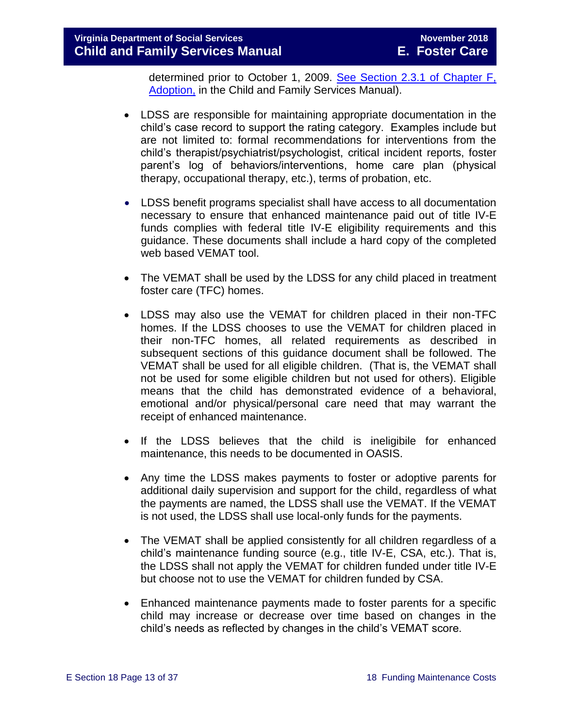#### **Virginia Department of Social Services November 2018 Child and Family Services Manual E. Foster Care**

determined prior to October 1, 2009. [See Section 2.3.1 of Chapter F,](http://www.dss.virginia.gov/files/division/dfs/ap/intro_page/manuals/07-01-2014/section_2_adoption_assistance.pdf)  [Adoption,](http://www.dss.virginia.gov/files/division/dfs/ap/intro_page/manuals/07-01-2014/section_2_adoption_assistance.pdf) in the Child and Family Services Manual).

- LDSS are responsible for maintaining appropriate documentation in the child's case record to support the rating category. Examples include but are not limited to: formal recommendations for interventions from the child's therapist/psychiatrist/psychologist, critical incident reports, foster parent's log of behaviors/interventions, home care plan (physical therapy, occupational therapy, etc.), terms of probation, etc.
- LDSS benefit programs specialist shall have access to all documentation necessary to ensure that enhanced maintenance paid out of title IV-E funds complies with federal title IV-E eligibility requirements and this guidance. These documents shall include a hard copy of the completed web based VEMAT tool.
- The VEMAT shall be used by the LDSS for any child placed in treatment foster care (TFC) homes.
- LDSS may also use the VEMAT for children placed in their non-TFC homes. If the LDSS chooses to use the VEMAT for children placed in their non-TFC homes, all related requirements as described in subsequent sections of this guidance document shall be followed. The VEMAT shall be used for all eligible children. (That is, the VEMAT shall not be used for some eligible children but not used for others). Eligible means that the child has demonstrated evidence of a behavioral, emotional and/or physical/personal care need that may warrant the receipt of enhanced maintenance.
- If the LDSS believes that the child is ineligibile for enhanced maintenance, this needs to be documented in OASIS.
- Any time the LDSS makes payments to foster or adoptive parents for additional daily supervision and support for the child, regardless of what the payments are named, the LDSS shall use the VEMAT. If the VEMAT is not used, the LDSS shall use local-only funds for the payments.
- The VEMAT shall be applied consistently for all children regardless of a child's maintenance funding source (e.g., title IV-E, CSA, etc.). That is, the LDSS shall not apply the VEMAT for children funded under title IV-E but choose not to use the VEMAT for children funded by CSA.
- Enhanced maintenance payments made to foster parents for a specific child may increase or decrease over time based on changes in the child's needs as reflected by changes in the child's VEMAT score.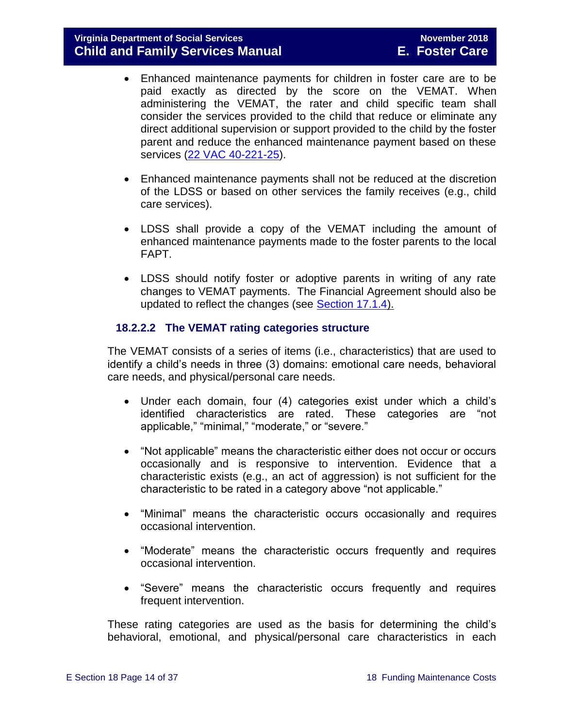- Enhanced maintenance payments for children in foster care are to be paid exactly as directed by the score on the VEMAT. When administering the VEMAT, the rater and child specific team shall consider the services provided to the child that reduce or eliminate any direct additional supervision or support provided to the child by the foster parent and reduce the enhanced maintenance payment based on these services [\(22 VAC 40-221-25\)](http://leg1.state.va.us/cgi-bin/legp504.exe?000+reg+22VAC40-221-25).
- Enhanced maintenance payments shall not be reduced at the discretion of the LDSS or based on other services the family receives (e.g., child care services).
- LDSS shall provide a copy of the VEMAT including the amount of enhanced maintenance payments made to the foster parents to the local FAPT.
- LDSS should notify foster or adoptive parents in writing of any rate changes to VEMAT payments. The Financial Agreement should also be updated to reflect the changes (see [Section 17.1.4\)](file://///Vaultcelerra.co.dss.state.va.us/Workgroup/Family_Services/DFS%20Child%20and%20Family%20Services%20Manual/E.%20Foster%20Care/Foster%20Care%20June%202017/section_17_managing_foster_care_services.draft.1.docx).

#### **18.2.2.2 The VEMAT rating categories structure**

The VEMAT consists of a series of items (i.e., characteristics) that are used to identify a child's needs in three (3) domains: emotional care needs, behavioral care needs, and physical/personal care needs.

- Under each domain, four (4) categories exist under which a child's identified characteristics are rated. These categories are "not applicable," "minimal," "moderate," or "severe."
- "Not applicable" means the characteristic either does not occur or occurs occasionally and is responsive to intervention. Evidence that a characteristic exists (e.g., an act of aggression) is not sufficient for the characteristic to be rated in a category above "not applicable."
- "Minimal" means the characteristic occurs occasionally and requires occasional intervention.
- "Moderate" means the characteristic occurs frequently and requires occasional intervention.
- "Severe" means the characteristic occurs frequently and requires frequent intervention.

These rating categories are used as the basis for determining the child's behavioral, emotional, and physical/personal care characteristics in each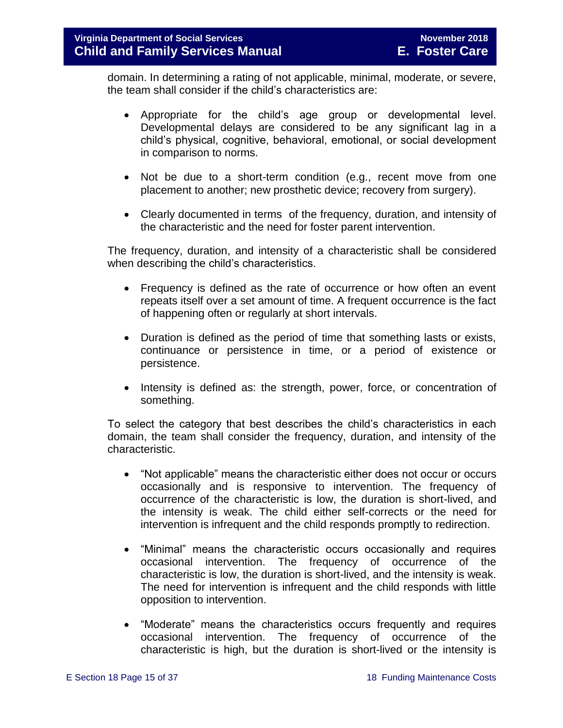domain. In determining a rating of not applicable, minimal, moderate, or severe, the team shall consider if the child's characteristics are:

- Appropriate for the child's age group or developmental level. Developmental delays are considered to be any significant lag in a child's physical, cognitive, behavioral, emotional, or social development in comparison to norms.
- Not be due to a short-term condition (e.g., recent move from one placement to another; new prosthetic device; recovery from surgery).
- Clearly documented in terms of the frequency, duration, and intensity of the characteristic and the need for foster parent intervention.

The frequency, duration, and intensity of a characteristic shall be considered when describing the child's characteristics.

- Frequency is defined as the rate of occurrence or how often an event repeats itself over a set amount of time. A frequent occurrence is the fact of happening often or regularly at short intervals.
- Duration is defined as the period of time that something lasts or exists, continuance or persistence in time, or a period of existence or persistence.
- Intensity is defined as: the strength, power, force, or concentration of something.

To select the category that best describes the child's characteristics in each domain, the team shall consider the frequency, duration, and intensity of the characteristic.

- "Not applicable" means the characteristic either does not occur or occurs occasionally and is responsive to intervention. The frequency of occurrence of the characteristic is low, the duration is short-lived, and the intensity is weak. The child either self-corrects or the need for intervention is infrequent and the child responds promptly to redirection.
- "Minimal" means the characteristic occurs occasionally and requires occasional intervention. The frequency of occurrence of the characteristic is low, the duration is short-lived, and the intensity is weak. The need for intervention is infrequent and the child responds with little opposition to intervention.
- "Moderate" means the characteristics occurs frequently and requires occasional intervention. The frequency of occurrence of the characteristic is high, but the duration is short-lived or the intensity is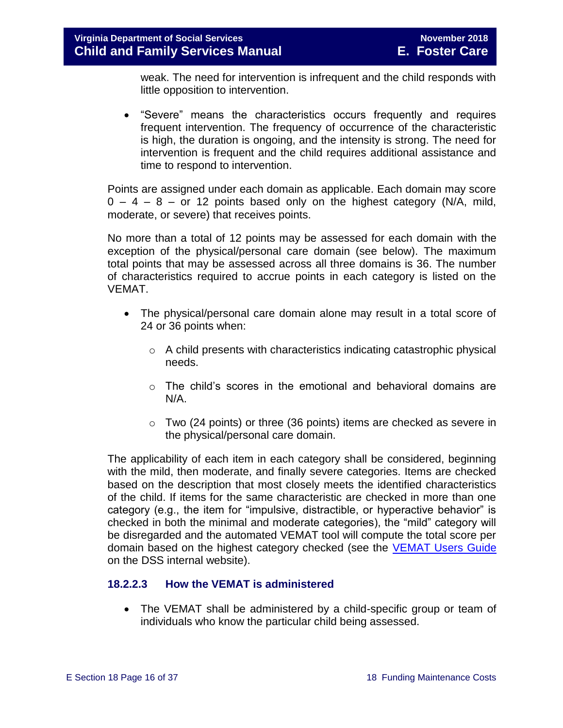weak. The need for intervention is infrequent and the child responds with little opposition to intervention.

 "Severe" means the characteristics occurs frequently and requires frequent intervention. The frequency of occurrence of the characteristic is high, the duration is ongoing, and the intensity is strong. The need for intervention is frequent and the child requires additional assistance and time to respond to intervention.

Points are assigned under each domain as applicable. Each domain may score  $0 - 4 - 8 -$  or 12 points based only on the highest category (N/A, mild, moderate, or severe) that receives points.

No more than a total of 12 points may be assessed for each domain with the exception of the physical/personal care domain (see below). The maximum total points that may be assessed across all three domains is 36. The number of characteristics required to accrue points in each category is listed on the VEMAT.

- The physical/personal care domain alone may result in a total score of 24 or 36 points when:
	- o A child presents with characteristics indicating catastrophic physical needs.
	- $\circ$  The child's scores in the emotional and behavioral domains are N/A.
	- $\circ$  Two (24 points) or three (36 points) items are checked as severe in the physical/personal care domain.

The applicability of each item in each category shall be considered, beginning with the mild, then moderate, and finally severe categories. Items are checked based on the description that most closely meets the identified characteristics of the child. If items for the same characteristic are checked in more than one category (e.g., the item for "impulsive, distractible, or hyperactive behavior" is checked in both the minimal and moderate categories), the "mild" category will be disregarded and the automated VEMAT tool will compute the total score per domain based on the highest category checked (see the **VEMAT Users Guide** on the DSS internal website).

#### <span id="page-15-0"></span>**18.2.2.3 How the VEMAT is administered**

• The VEMAT shall be administered by a child-specific group or team of individuals who know the particular child being assessed.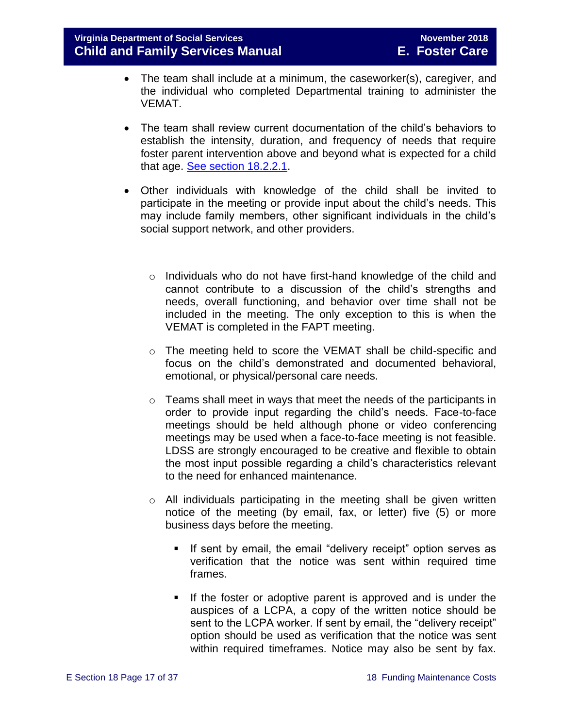- The team shall include at a minimum, the caseworker(s), caregiver, and the individual who completed Departmental training to administer the VEMAT.
- The team shall review current documentation of the child's behaviors to establish the intensity, duration, and frequency of needs that require foster parent intervention above and beyond what is expected for a child that age. [See section 18.2.2.1.](#page-11-0)
- Other individuals with knowledge of the child shall be invited to participate in the meeting or provide input about the child's needs. This may include family members, other significant individuals in the child's social support network, and other providers.
	- $\circ$  Individuals who do not have first-hand knowledge of the child and cannot contribute to a discussion of the child's strengths and needs, overall functioning, and behavior over time shall not be included in the meeting. The only exception to this is when the VEMAT is completed in the FAPT meeting.
	- o The meeting held to score the VEMAT shall be child-specific and focus on the child's demonstrated and documented behavioral, emotional, or physical/personal care needs.
	- $\circ$  Teams shall meet in ways that meet the needs of the participants in order to provide input regarding the child's needs. Face-to-face meetings should be held although phone or video conferencing meetings may be used when a face-to-face meeting is not feasible. LDSS are strongly encouraged to be creative and flexible to obtain the most input possible regarding a child's characteristics relevant to the need for enhanced maintenance.
	- o All individuals participating in the meeting shall be given written notice of the meeting (by email, fax, or letter) five (5) or more business days before the meeting.
		- **If sent by email, the email "delivery receipt" option serves as** verification that the notice was sent within required time frames.
		- If the foster or adoptive parent is approved and is under the auspices of a LCPA, a copy of the written notice should be sent to the LCPA worker. If sent by email, the "delivery receipt" option should be used as verification that the notice was sent within required timeframes. Notice may also be sent by fax.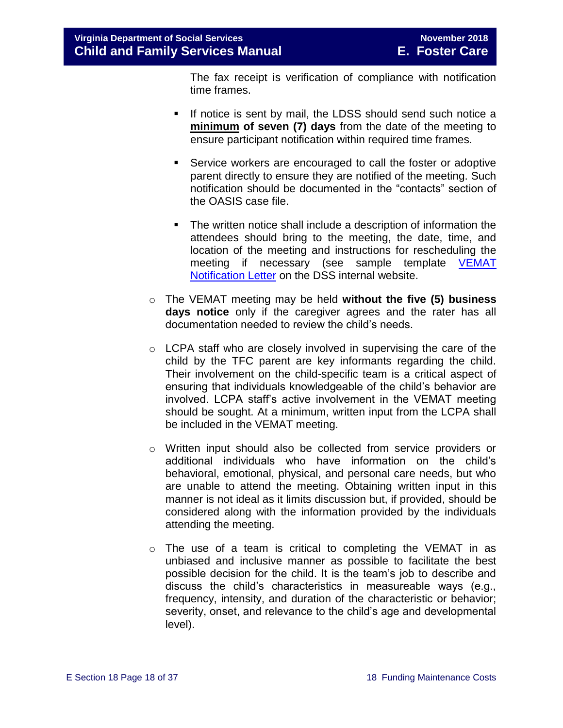The fax receipt is verification of compliance with notification time frames.

- If notice is sent by mail, the LDSS should send such notice a **minimum of seven (7) days** from the date of the meeting to ensure participant notification within required time frames.
- Service workers are encouraged to call the foster or adoptive parent directly to ensure they are notified of the meeting. Such notification should be documented in the "contacts" section of the OASIS case file.
- The written notice shall include a description of information the attendees should bring to the meeting, the date, time, and location of the meeting and instructions for rescheduling the meeting if necessary (see sample template [VEMAT](http://spark.dss.virginia.gov/divisions/dis/vemat/)  [Notification Letter](http://spark.dss.virginia.gov/divisions/dis/vemat/) on the DSS internal website.
- o The VEMAT meeting may be held **without the five (5) business days notice** only if the caregiver agrees and the rater has all documentation needed to review the child's needs.
- o LCPA staff who are closely involved in supervising the care of the child by the TFC parent are key informants regarding the child. Their involvement on the child-specific team is a critical aspect of ensuring that individuals knowledgeable of the child's behavior are involved. LCPA staff's active involvement in the VEMAT meeting should be sought. At a minimum, written input from the LCPA shall be included in the VEMAT meeting.
- o Written input should also be collected from service providers or additional individuals who have information on the child's behavioral, emotional, physical, and personal care needs, but who are unable to attend the meeting. Obtaining written input in this manner is not ideal as it limits discussion but, if provided, should be considered along with the information provided by the individuals attending the meeting.
- o The use of a team is critical to completing the VEMAT in as unbiased and inclusive manner as possible to facilitate the best possible decision for the child. It is the team's job to describe and discuss the child's characteristics in measureable ways (e.g., frequency, intensity, and duration of the characteristic or behavior; severity, onset, and relevance to the child's age and developmental level).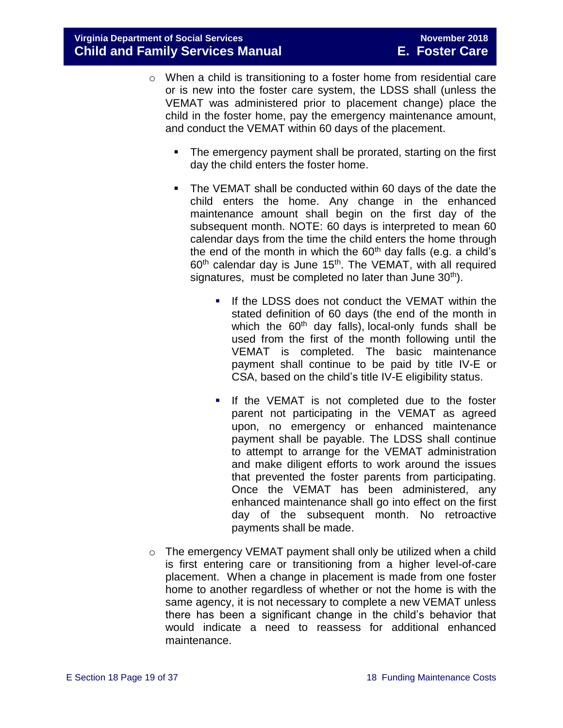- o When a child is transitioning to a foster home from residential care or is new into the foster care system, the LDSS shall (unless the VEMAT was administered prior to placement change) place the child in the foster home, pay the emergency maintenance amount, and conduct the VEMAT within 60 days of the placement.
	- The emergency payment shall be prorated, starting on the first day the child enters the foster home.
	- The VEMAT shall be conducted within 60 days of the date the child enters the home. Any change in the enhanced maintenance amount shall begin on the first day of the subsequent month. NOTE: 60 days is interpreted to mean 60 calendar days from the time the child enters the home through the end of the month in which the  $60<sup>th</sup>$  day falls (e.g. a child's  $60<sup>th</sup>$  calendar day is June 15<sup>th</sup>. The VEMAT, with all required signatures, must be completed no later than June  $30<sup>th</sup>$ ).
		- If the LDSS does not conduct the VEMAT within the stated definition of 60 days (the end of the month in which the  $60<sup>th</sup>$  day falls), local-only funds shall be used from the first of the month following until the VEMAT is completed. The basic maintenance payment shall continue to be paid by title IV-E or CSA, based on the child's title IV-E eligibility status.
		- If the VEMAT is not completed due to the foster parent not participating in the VEMAT as agreed upon, no emergency or enhanced maintenance payment shall be payable. The LDSS shall continue to attempt to arrange for the VEMAT administration and make diligent efforts to work around the issues that prevented the foster parents from participating. Once the VEMAT has been administered, any enhanced maintenance shall go into effect on the first day of the subsequent month. No retroactive payments shall be made.
- $\circ$  The emergency VEMAT payment shall only be utilized when a child is first entering care or transitioning from a higher level-of-care placement. When a change in placement is made from one foster home to another regardless of whether or not the home is with the same agency, it is not necessary to complete a new VEMAT unless there has been a significant change in the child's behavior that would indicate a need to reassess for additional enhanced maintenance.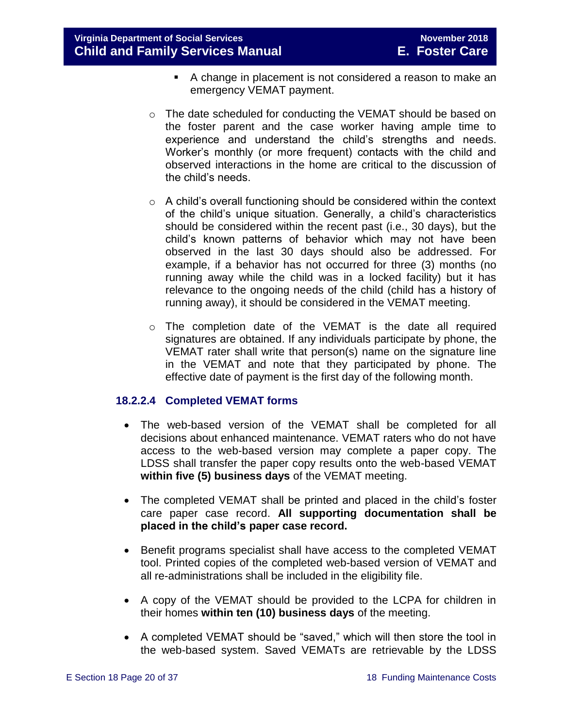- A change in placement is not considered a reason to make an emergency VEMAT payment.
- $\circ$  The date scheduled for conducting the VEMAT should be based on the foster parent and the case worker having ample time to experience and understand the child's strengths and needs. Worker's monthly (or more frequent) contacts with the child and observed interactions in the home are critical to the discussion of the child's needs.
- o A child's overall functioning should be considered within the context of the child's unique situation. Generally, a child's characteristics should be considered within the recent past (i.e., 30 days), but the child's known patterns of behavior which may not have been observed in the last 30 days should also be addressed. For example, if a behavior has not occurred for three (3) months (no running away while the child was in a locked facility) but it has relevance to the ongoing needs of the child (child has a history of running away), it should be considered in the VEMAT meeting.
- o The completion date of the VEMAT is the date all required signatures are obtained. If any individuals participate by phone, the VEMAT rater shall write that person(s) name on the signature line in the VEMAT and note that they participated by phone. The effective date of payment is the first day of the following month.

#### **18.2.2.4 Completed VEMAT forms**

- The web-based version of the VEMAT shall be completed for all decisions about enhanced maintenance. VEMAT raters who do not have access to the web-based version may complete a paper copy. The LDSS shall transfer the paper copy results onto the web-based VEMAT **within five (5) business days** of the VEMAT meeting.
- The completed VEMAT shall be printed and placed in the child's foster care paper case record. **All supporting documentation shall be placed in the child's paper case record.**
- Benefit programs specialist shall have access to the completed VEMAT tool. Printed copies of the completed web-based version of VEMAT and all re-administrations shall be included in the eligibility file.
- A copy of the VEMAT should be provided to the LCPA for children in their homes **within ten (10) business days** of the meeting.
- A completed VEMAT should be "saved," which will then store the tool in the web-based system. Saved VEMATs are retrievable by the LDSS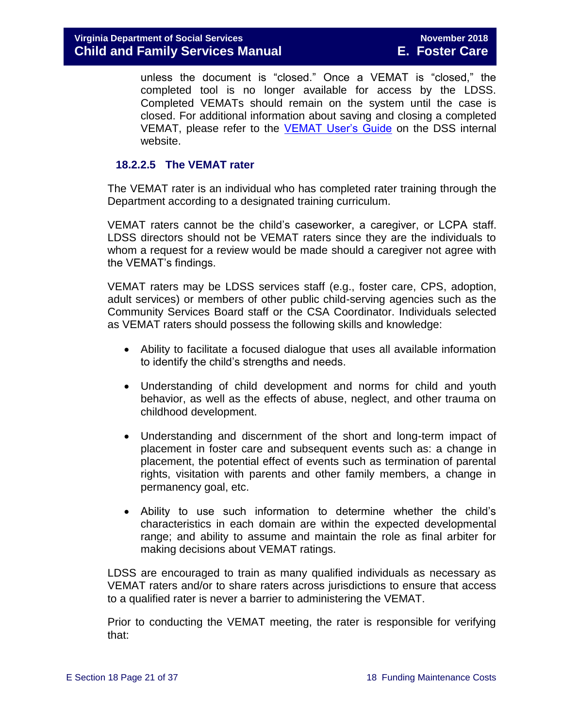unless the document is "closed." Once a VEMAT is "closed," the completed tool is no longer available for access by the LDSS. Completed VEMATs should remain on the system until the case is closed. For additional information about saving and closing a completed VEMAT, please refer to the [VEMAT User's Guide](http://spark.dss.virginia.gov/divisions/dis/vemat/) on the DSS internal website.

#### **18.2.2.5 The VEMAT rater**

The VEMAT rater is an individual who has completed rater training through the Department according to a designated training curriculum.

VEMAT raters cannot be the child's caseworker, a caregiver, or LCPA staff. LDSS directors should not be VEMAT raters since they are the individuals to whom a request for a review would be made should a caregiver not agree with the VEMAT's findings.

VEMAT raters may be LDSS services staff (e.g., foster care, CPS, adoption, adult services) or members of other public child-serving agencies such as the Community Services Board staff or the CSA Coordinator. Individuals selected as VEMAT raters should possess the following skills and knowledge:

- Ability to facilitate a focused dialogue that uses all available information to identify the child's strengths and needs.
- Understanding of child development and norms for child and youth behavior, as well as the effects of abuse, neglect, and other trauma on childhood development.
- Understanding and discernment of the short and long-term impact of placement in foster care and subsequent events such as: a change in placement, the potential effect of events such as termination of parental rights, visitation with parents and other family members, a change in permanency goal, etc.
- Ability to use such information to determine whether the child's characteristics in each domain are within the expected developmental range; and ability to assume and maintain the role as final arbiter for making decisions about VEMAT ratings.

LDSS are encouraged to train as many qualified individuals as necessary as VEMAT raters and/or to share raters across jurisdictions to ensure that access to a qualified rater is never a barrier to administering the VEMAT.

Prior to conducting the VEMAT meeting, the rater is responsible for verifying that: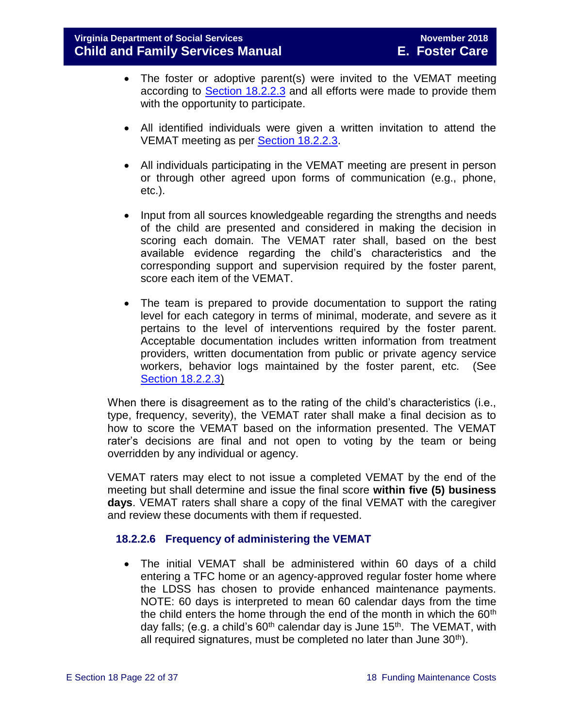- The foster or adoptive parent(s) were invited to the VEMAT meeting according to Section [18.2.2.3](#page-15-0) and all efforts were made to provide them with the opportunity to participate.
- All identified individuals were given a written invitation to attend the VEMAT meeting as per Section [18.2.2.3.](#page-15-0)
- All individuals participating in the VEMAT meeting are present in person or through other agreed upon forms of communication (e.g., phone, etc.).
- Input from all sources knowledgeable regarding the strengths and needs of the child are presented and considered in making the decision in scoring each domain. The VEMAT rater shall, based on the best available evidence regarding the child's characteristics and the corresponding support and supervision required by the foster parent, score each item of the VEMAT.
- The team is prepared to provide documentation to support the rating level for each category in terms of minimal, moderate, and severe as it pertains to the level of interventions required by the foster parent. Acceptable documentation includes written information from treatment providers, written documentation from public or private agency service workers, behavior logs maintained by the foster parent, etc. (See [Section 18.2.2.3\)](#page-15-0)

When there is disagreement as to the rating of the child's characteristics (i.e., type, frequency, severity), the VEMAT rater shall make a final decision as to how to score the VEMAT based on the information presented. The VEMAT rater's decisions are final and not open to voting by the team or being overridden by any individual or agency.

VEMAT raters may elect to not issue a completed VEMAT by the end of the meeting but shall determine and issue the final score **within five (5) business days**. VEMAT raters shall share a copy of the final VEMAT with the caregiver and review these documents with them if requested.

#### <span id="page-21-0"></span>**18.2.2.6 Frequency of administering the VEMAT**

 The initial VEMAT shall be administered within 60 days of a child entering a TFC home or an agency-approved regular foster home where the LDSS has chosen to provide enhanced maintenance payments. NOTE: 60 days is interpreted to mean 60 calendar days from the time the child enters the home through the end of the month in which the  $60<sup>th</sup>$ day falls; (e.g. a child's  $60<sup>th</sup>$  calendar day is June 15<sup>th</sup>. The VEMAT, with all required signatures, must be completed no later than June  $30<sup>th</sup>$ ).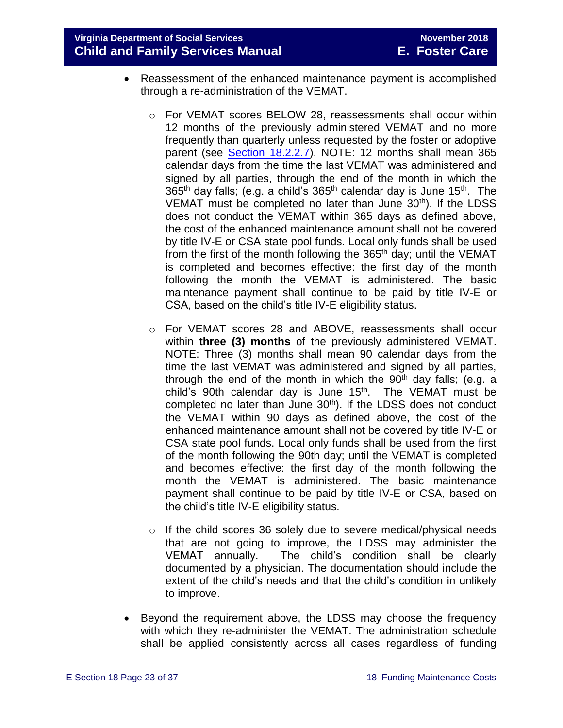**Virginia Department of Social Services November 2018 Child and Family Services Manual E. Foster Care**

- Reassessment of the enhanced maintenance payment is accomplished through a re-administration of the VEMAT.
	- $\circ$  For VEMAT scores BELOW 28, reassessments shall occur within 12 months of the previously administered VEMAT and no more frequently than quarterly unless requested by the foster or adoptive parent (see Section [18.2.2.7\)](#page-23-1). NOTE: 12 months shall mean 365 calendar days from the time the last VEMAT was administered and signed by all parties, through the end of the month in which the 365<sup>th</sup> day falls; (e.g. a child's 365<sup>th</sup> calendar day is June 15<sup>th</sup>. The VEMAT must be completed no later than June  $30<sup>th</sup>$ ). If the LDSS does not conduct the VEMAT within 365 days as defined above, the cost of the enhanced maintenance amount shall not be covered by title IV-E or CSA state pool funds. Local only funds shall be used from the first of the month following the  $365<sup>th</sup>$  day; until the VEMAT is completed and becomes effective: the first day of the month following the month the VEMAT is administered. The basic maintenance payment shall continue to be paid by title IV-E or CSA, based on the child's title IV-E eligibility status.
	- o For VEMAT scores 28 and ABOVE, reassessments shall occur within **three (3) months** of the previously administered VEMAT. NOTE: Three (3) months shall mean 90 calendar days from the time the last VEMAT was administered and signed by all parties, through the end of the month in which the  $90<sup>th</sup>$  day falls; (e.g. a child's 90th calendar day is June  $15<sup>th</sup>$ . The VEMAT must be completed no later than June 30<sup>th</sup>). If the LDSS does not conduct the VEMAT within 90 days as defined above, the cost of the enhanced maintenance amount shall not be covered by title IV-E or CSA state pool funds. Local only funds shall be used from the first of the month following the 90th day; until the VEMAT is completed and becomes effective: the first day of the month following the month the VEMAT is administered. The basic maintenance payment shall continue to be paid by title IV-E or CSA, based on the child's title IV-E eligibility status.
	- o If the child scores 36 solely due to severe medical/physical needs that are not going to improve, the LDSS may administer the VEMAT annually. The child's condition shall be clearly documented by a physician. The documentation should include the extent of the child's needs and that the child's condition in unlikely to improve.
- Beyond the requirement above, the LDSS may choose the frequency with which they re-administer the VEMAT. The administration schedule shall be applied consistently across all cases regardless of funding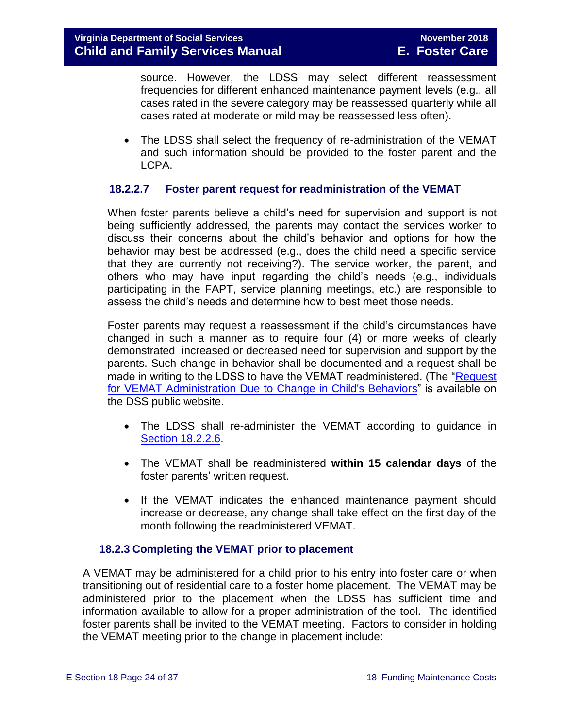source. However, the LDSS may select different reassessment frequencies for different enhanced maintenance payment levels (e.g., all cases rated in the severe category may be reassessed quarterly while all cases rated at moderate or mild may be reassessed less often).

 The LDSS shall select the frequency of re-administration of the VEMAT and such information should be provided to the foster parent and the LCPA.

#### <span id="page-23-1"></span>**18.2.2.7 Foster parent request for readministration of the VEMAT**

When foster parents believe a child's need for supervision and support is not being sufficiently addressed, the parents may contact the services worker to discuss their concerns about the child's behavior and options for how the behavior may best be addressed (e.g., does the child need a specific service that they are currently not receiving?). The service worker, the parent, and others who may have input regarding the child's needs (e.g., individuals participating in the FAPT, service planning meetings, etc.) are responsible to assess the child's needs and determine how to best meet those needs.

Foster parents may request a reassessment if the child's circumstances have changed in such a manner as to require four (4) or more weeks of clearly demonstrated increased or decreased need for supervision and support by the parents. Such change in behavior shall be documented and a request shall be made in writing to the LDSS to have the VEMAT readministered. (The ["Request](http://www.dss.virginia.gov/files/division/dfs/fc/intro_page/forms/032-04-0048-01-eng.pdf)  [for VEMAT Administration Due to Change in Child's Behaviors"](http://www.dss.virginia.gov/files/division/dfs/fc/intro_page/forms/032-04-0048-01-eng.pdf) is available on the DSS public website.

- The LDSS shall re-administer the VEMAT according to guidance in [Section 18.2.2.6.](#page-21-0)
- The VEMAT shall be readministered **within 15 calendar days** of the foster parents' written request.
- If the VEMAT indicates the enhanced maintenance payment should increase or decrease, any change shall take effect on the first day of the month following the readministered VEMAT.

#### **18.2.3 Completing the VEMAT prior to placement**

<span id="page-23-0"></span>A VEMAT may be administered for a child prior to his entry into foster care or when transitioning out of residential care to a foster home placement. The VEMAT may be administered prior to the placement when the LDSS has sufficient time and information available to allow for a proper administration of the tool. The identified foster parents shall be invited to the VEMAT meeting. Factors to consider in holding the VEMAT meeting prior to the change in placement include: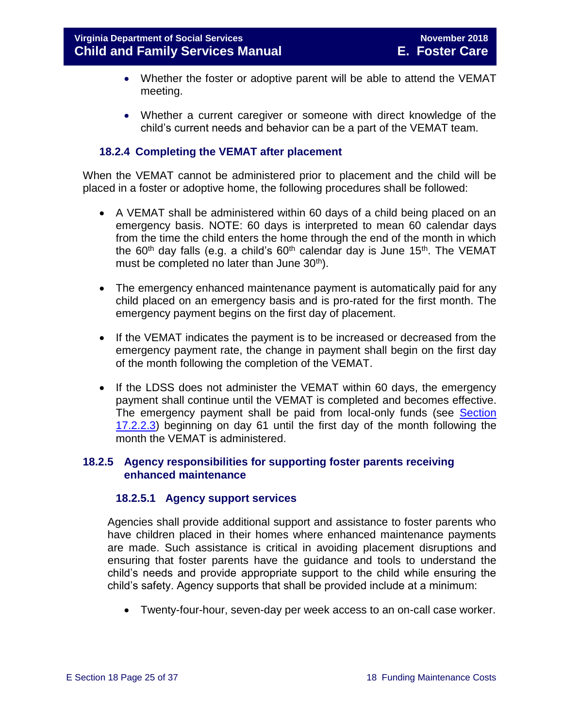- Whether the foster or adoptive parent will be able to attend the VEMAT meeting.
- Whether a current caregiver or someone with direct knowledge of the child's current needs and behavior can be a part of the VEMAT team.

#### <span id="page-24-0"></span>**18.2.4 Completing the VEMAT after placement**

When the VEMAT cannot be administered prior to placement and the child will be placed in a foster or adoptive home, the following procedures shall be followed:

- A VEMAT shall be administered within 60 days of a child being placed on an emergency basis. NOTE: 60 days is interpreted to mean 60 calendar days from the time the child enters the home through the end of the month in which the 60<sup>th</sup> day falls (e.g. a child's 60<sup>th</sup> calendar day is June 15<sup>th</sup>. The VEMAT must be completed no later than June  $30<sup>th</sup>$ ).
- The emergency enhanced maintenance payment is automatically paid for any child placed on an emergency basis and is pro-rated for the first month. The emergency payment begins on the first day of placement.
- If the VEMAT indicates the payment is to be increased or decreased from the emergency payment rate, the change in payment shall begin on the first day of the month following the completion of the VEMAT.
- If the LDSS does not administer the VEMAT within 60 days, the emergency payment shall continue until the VEMAT is completed and becomes effective. The emergency payment shall be paid from local-only funds (see [Section](#page-15-0) [17.2.2.3\)](#page-15-0) beginning on day 61 until the first day of the month following the month the VEMAT is administered.

#### <span id="page-24-1"></span>**18.2.5 Agency responsibilities for supporting foster parents receiving enhanced maintenance**

#### **18.2.5.1 Agency support services**

Agencies shall provide additional support and assistance to foster parents who have children placed in their homes where enhanced maintenance payments are made. Such assistance is critical in avoiding placement disruptions and ensuring that foster parents have the guidance and tools to understand the child's needs and provide appropriate support to the child while ensuring the child's safety. Agency supports that shall be provided include at a minimum:

Twenty-four-hour, seven-day per week access to an on-call case worker.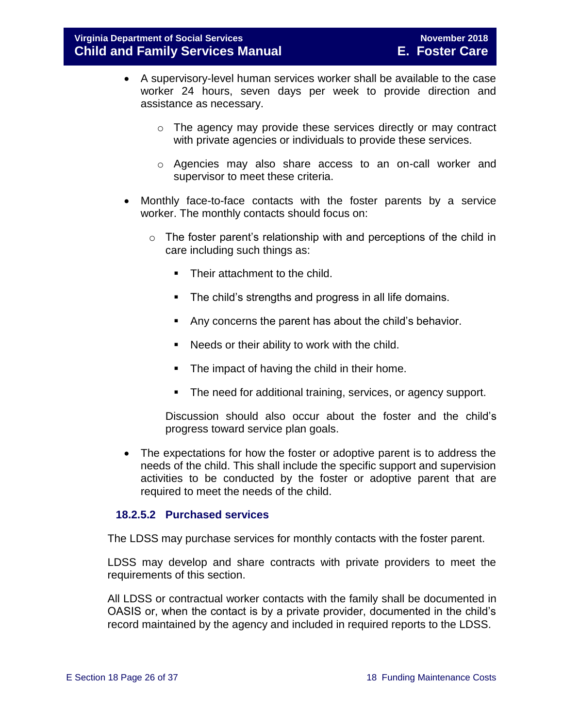- A supervisory-level human services worker shall be available to the case worker 24 hours, seven days per week to provide direction and assistance as necessary.
	- o The agency may provide these services directly or may contract with private agencies or individuals to provide these services.
	- o Agencies may also share access to an on-call worker and supervisor to meet these criteria.
- Monthly face-to-face contacts with the foster parents by a service worker. The monthly contacts should focus on:
	- o The foster parent's relationship with and perceptions of the child in care including such things as:
		- Their attachment to the child.
		- **The child's strengths and progress in all life domains.**
		- Any concerns the parent has about the child's behavior.
		- Needs or their ability to work with the child.
		- The impact of having the child in their home.
		- **The need for additional training, services, or agency support.**

Discussion should also occur about the foster and the child's progress toward service plan goals.

 The expectations for how the foster or adoptive parent is to address the needs of the child. This shall include the specific support and supervision activities to be conducted by the foster or adoptive parent that are required to meet the needs of the child.

#### **18.2.5.2 Purchased services**

The LDSS may purchase services for monthly contacts with the foster parent.

LDSS may develop and share contracts with private providers to meet the requirements of this section.

All LDSS or contractual worker contacts with the family shall be documented in OASIS or, when the contact is by a private provider, documented in the child's record maintained by the agency and included in required reports to the LDSS.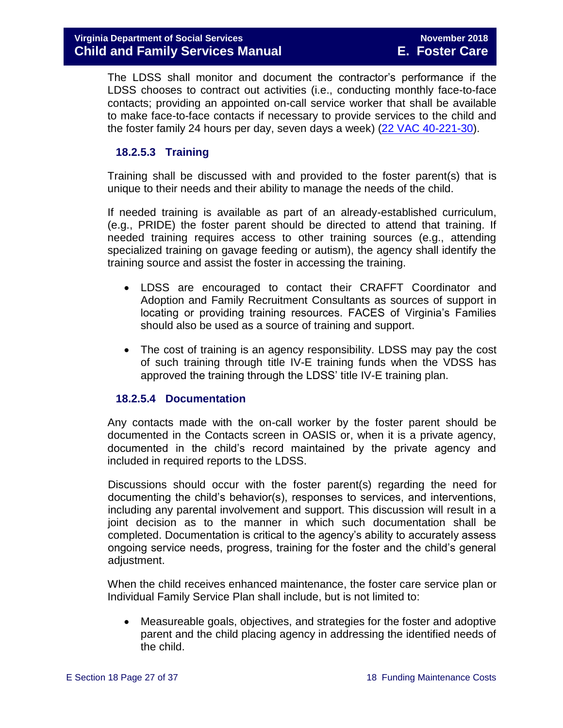The LDSS shall monitor and document the contractor's performance if the LDSS chooses to contract out activities (i.e., conducting monthly face-to-face contacts; providing an appointed on-call service worker that shall be available to make face-to-face contacts if necessary to provide services to the child and the foster family 24 hours per day, seven days a week) [\(22 VAC 40-221-30\)](http://leg1.state.va.us/cgi-bin/legp504.exe?000+reg+22VAC40-221-30).

#### **18.2.5.3 Training**

Training shall be discussed with and provided to the foster parent(s) that is unique to their needs and their ability to manage the needs of the child.

If needed training is available as part of an already-established curriculum, (e.g., PRIDE) the foster parent should be directed to attend that training. If needed training requires access to other training sources (e.g., attending specialized training on gavage feeding or autism), the agency shall identify the training source and assist the foster in accessing the training.

- LDSS are encouraged to contact their CRAFFT Coordinator and Adoption and Family Recruitment Consultants as sources of support in locating or providing training resources. FACES of Virginia's Families should also be used as a source of training and support.
- The cost of training is an agency responsibility. LDSS may pay the cost of such training through title IV-E training funds when the VDSS has approved the training through the LDSS' title IV-E training plan.

#### **18.2.5.4 Documentation**

<span id="page-26-0"></span>Any contacts made with the on-call worker by the foster parent should be documented in the Contacts screen in OASIS or, when it is a private agency, documented in the child's record maintained by the private agency and included in required reports to the LDSS.

Discussions should occur with the foster parent(s) regarding the need for documenting the child's behavior(s), responses to services, and interventions, including any parental involvement and support. This discussion will result in a joint decision as to the manner in which such documentation shall be completed. Documentation is critical to the agency's ability to accurately assess ongoing service needs, progress, training for the foster and the child's general adjustment.

When the child receives enhanced maintenance, the foster care service plan or Individual Family Service Plan shall include, but is not limited to:

 Measureable goals, objectives, and strategies for the foster and adoptive parent and the child placing agency in addressing the identified needs of the child.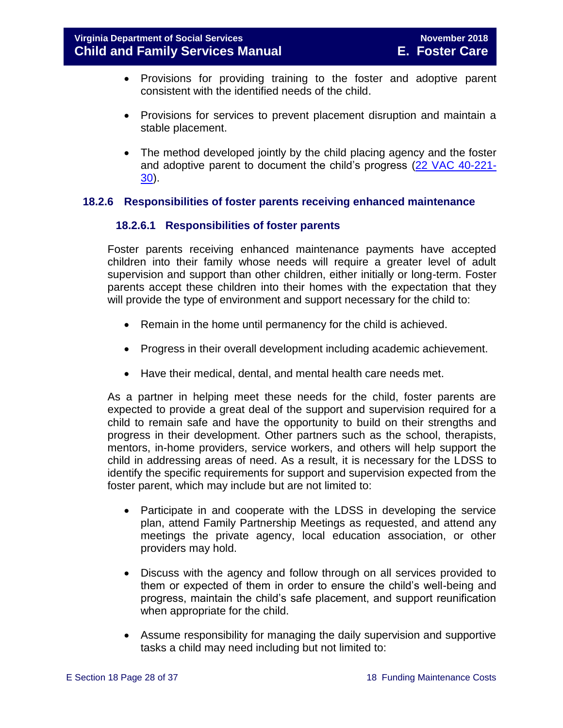- Provisions for providing training to the foster and adoptive parent consistent with the identified needs of the child.
- Provisions for services to prevent placement disruption and maintain a stable placement.
- The method developed jointly by the child placing agency and the foster and adoptive parent to document the child's progress [\(22 VAC 40-221-](http://leg1.state.va.us/cgi-bin/legp504.exe?000+reg+22VAC40-221-30) [30\)](http://leg1.state.va.us/cgi-bin/legp504.exe?000+reg+22VAC40-221-30).

#### <span id="page-27-0"></span>**18.2.6 Responsibilities of foster parents receiving enhanced maintenance**

#### **18.2.6.1 Responsibilities of foster parents**

Foster parents receiving enhanced maintenance payments have accepted children into their family whose needs will require a greater level of adult supervision and support than other children, either initially or long-term. Foster parents accept these children into their homes with the expectation that they will provide the type of environment and support necessary for the child to:

- Remain in the home until permanency for the child is achieved.
- Progress in their overall development including academic achievement.
- Have their medical, dental, and mental health care needs met.

As a partner in helping meet these needs for the child, foster parents are expected to provide a great deal of the support and supervision required for a child to remain safe and have the opportunity to build on their strengths and progress in their development. Other partners such as the school, therapists, mentors, in-home providers, service workers, and others will help support the child in addressing areas of need. As a result, it is necessary for the LDSS to identify the specific requirements for support and supervision expected from the foster parent, which may include but are not limited to:

- Participate in and cooperate with the LDSS in developing the service plan, attend Family Partnership Meetings as requested, and attend any meetings the private agency, local education association, or other providers may hold.
- Discuss with the agency and follow through on all services provided to them or expected of them in order to ensure the child's well-being and progress, maintain the child's safe placement, and support reunification when appropriate for the child.
- Assume responsibility for managing the daily supervision and supportive tasks a child may need including but not limited to: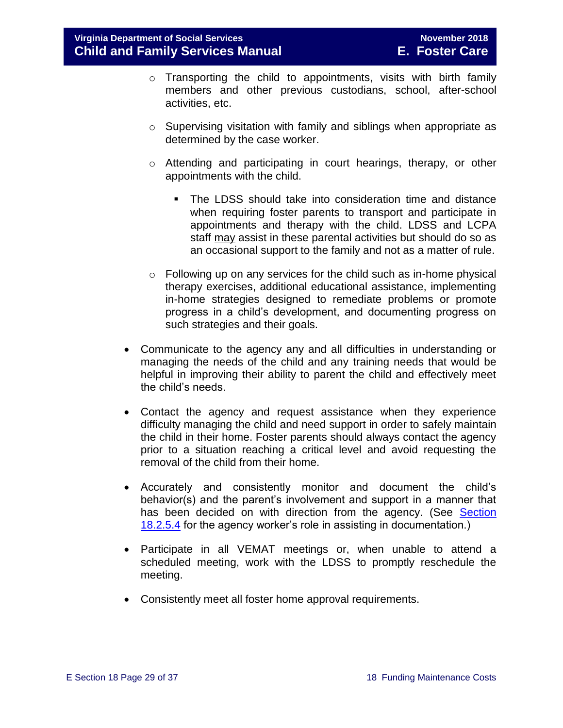- o Transporting the child to appointments, visits with birth family members and other previous custodians, school, after-school activities, etc.
- o Supervising visitation with family and siblings when appropriate as determined by the case worker.
- o Attending and participating in court hearings, therapy, or other appointments with the child.
	- The LDSS should take into consideration time and distance when requiring foster parents to transport and participate in appointments and therapy with the child. LDSS and LCPA staff may assist in these parental activities but should do so as an occasional support to the family and not as a matter of rule.
- $\circ$  Following up on any services for the child such as in-home physical therapy exercises, additional educational assistance, implementing in-home strategies designed to remediate problems or promote progress in a child's development, and documenting progress on such strategies and their goals.
- Communicate to the agency any and all difficulties in understanding or managing the needs of the child and any training needs that would be helpful in improving their ability to parent the child and effectively meet the child's needs.
- Contact the agency and request assistance when they experience difficulty managing the child and need support in order to safely maintain the child in their home. Foster parents should always contact the agency prior to a situation reaching a critical level and avoid requesting the removal of the child from their home.
- Accurately and consistently monitor and document the child's behavior(s) and the parent's involvement and support in a manner that has been decided on with direction from the agency. (See Section [18.2.5.4](#page-26-0) for the agency worker's role in assisting in documentation.)
- Participate in all VEMAT meetings or, when unable to attend a scheduled meeting, work with the LDSS to promptly reschedule the meeting.
- Consistently meet all foster home approval requirements.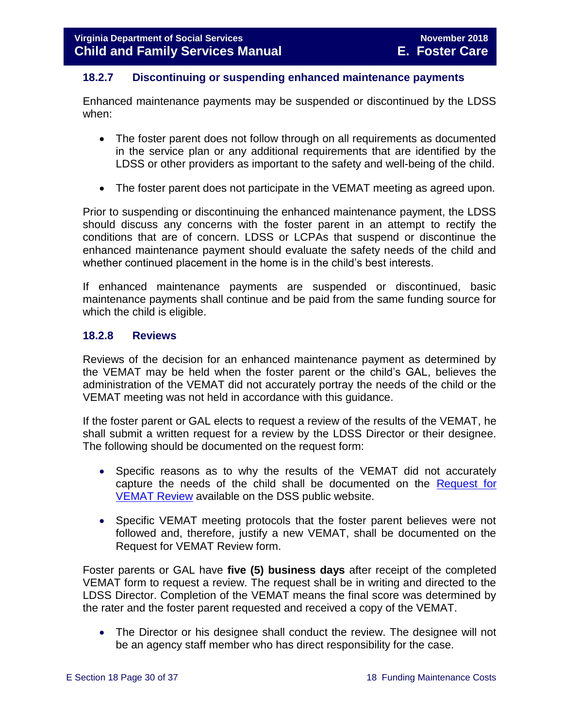#### <span id="page-29-0"></span>**18.2.7 Discontinuing or suspending enhanced maintenance payments**

Enhanced maintenance payments may be suspended or discontinued by the LDSS when:

- The foster parent does not follow through on all requirements as documented in the service plan or any additional requirements that are identified by the LDSS or other providers as important to the safety and well-being of the child.
- The foster parent does not participate in the VEMAT meeting as agreed upon.

Prior to suspending or discontinuing the enhanced maintenance payment, the LDSS should discuss any concerns with the foster parent in an attempt to rectify the conditions that are of concern. LDSS or LCPAs that suspend or discontinue the enhanced maintenance payment should evaluate the safety needs of the child and whether continued placement in the home is in the child's best interests.

If enhanced maintenance payments are suspended or discontinued, basic maintenance payments shall continue and be paid from the same funding source for which the child is eligible.

#### <span id="page-29-1"></span>**18.2.8 Reviews**

Reviews of the decision for an enhanced maintenance payment as determined by the VEMAT may be held when the foster parent or the child's GAL, believes the administration of the VEMAT did not accurately portray the needs of the child or the VEMAT meeting was not held in accordance with this guidance.

If the foster parent or GAL elects to request a review of the results of the VEMAT, he shall submit a written request for a review by the LDSS Director or their designee. The following should be documented on the request form:

- Specific reasons as to why the results of the VEMAT did not accurately capture the needs of the child shall be documented on the [Request for](http://www.dss.virginia.gov/family/fc/index.cgi)  [VEMAT Review](http://www.dss.virginia.gov/family/fc/index.cgi) available on the DSS public website.
- Specific VEMAT meeting protocols that the foster parent believes were not followed and, therefore, justify a new VEMAT, shall be documented on the Request for VEMAT Review form.

Foster parents or GAL have **five (5) business days** after receipt of the completed VEMAT form to request a review. The request shall be in writing and directed to the LDSS Director. Completion of the VEMAT means the final score was determined by the rater and the foster parent requested and received a copy of the VEMAT.

 The Director or his designee shall conduct the review. The designee will not be an agency staff member who has direct responsibility for the case.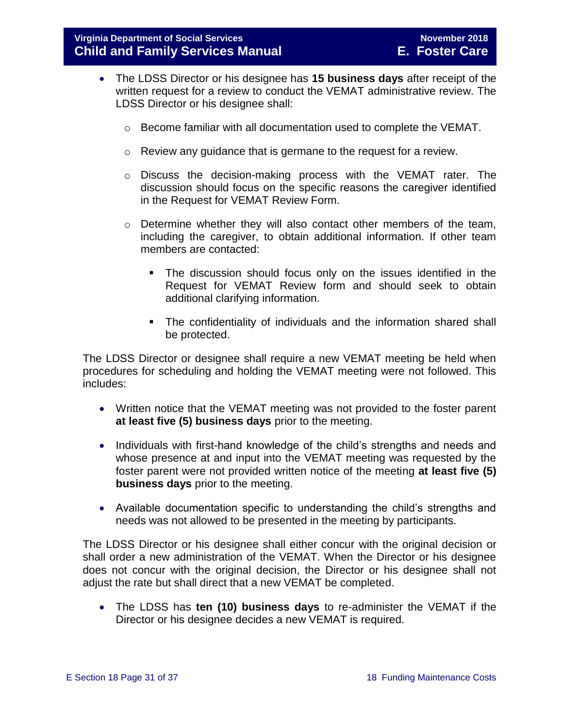- The LDSS Director or his designee has **15 business days** after receipt of the written request for a review to conduct the VEMAT administrative review. The LDSS Director or his designee shall:
	- o Become familiar with all documentation used to complete the VEMAT.
	- o Review any guidance that is germane to the request for a review.
	- o Discuss the decision-making process with the VEMAT rater. The discussion should focus on the specific reasons the caregiver identified in the Request for VEMAT Review Form.
	- $\circ$  Determine whether they will also contact other members of the team, including the caregiver, to obtain additional information. If other team members are contacted:
		- The discussion should focus only on the issues identified in the Request for VEMAT Review form and should seek to obtain additional clarifying information.
		- The confidentiality of individuals and the information shared shall be protected.

The LDSS Director or designee shall require a new VEMAT meeting be held when procedures for scheduling and holding the VEMAT meeting were not followed. This includes:

- Written notice that the VEMAT meeting was not provided to the foster parent **at least five (5) business days** prior to the meeting.
- Individuals with first-hand knowledge of the child's strengths and needs and whose presence at and input into the VEMAT meeting was requested by the foster parent were not provided written notice of the meeting **at least five (5) business days** prior to the meeting.
- Available documentation specific to understanding the child's strengths and needs was not allowed to be presented in the meeting by participants.

The LDSS Director or his designee shall either concur with the original decision or shall order a new administration of the VEMAT. When the Director or his designee does not concur with the original decision, the Director or his designee shall not adjust the rate but shall direct that a new VEMAT be completed.

 The LDSS has **ten (10) business days** to re-administer the VEMAT if the Director or his designee decides a new VEMAT is required.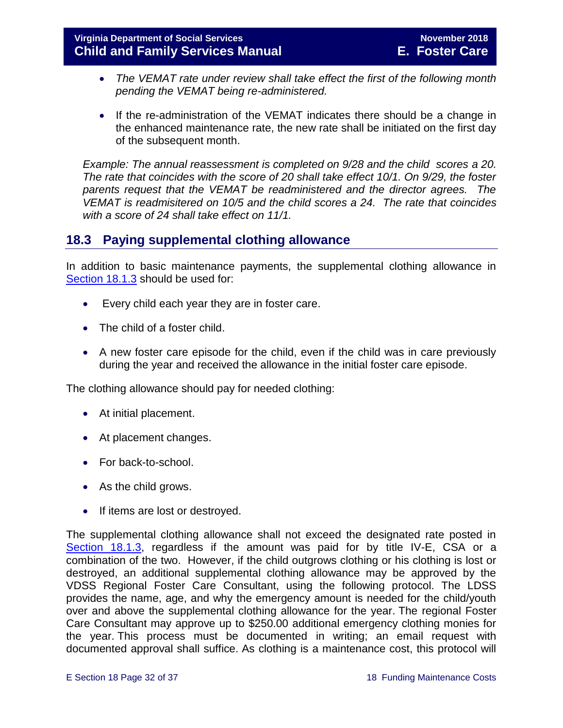- *The VEMAT rate under review shall take effect the first of the following month pending the VEMAT being re-administered.*
- If the re-administration of the VEMAT indicates there should be a change in the enhanced maintenance rate, the new rate shall be initiated on the first day of the subsequent month.

*Example: The annual reassessment is completed on 9/28 and the child scores a 20. The rate that coincides with the score of 20 shall take effect 10/1. On 9/29, the foster parents request that the VEMAT be readministered and the director agrees. The VEMAT is readmisitered on 10/5 and the child scores a 24. The rate that coincides with a score of 24 shall take effect on 11/1.* 

## <span id="page-31-0"></span>**18.3 Paying supplemental clothing allowance**

In addition to basic maintenance payments, the supplemental clothing allowance in [Section](#page-3-2) 18.1.3 should be used for:

- Every child each year they are in foster care.
- The child of a foster child.
- A new foster care episode for the child, even if the child was in care previously during the year and received the allowance in the initial foster care episode.

The clothing allowance should pay for needed clothing:

- At initial placement.
- At placement changes.
- For back-to-school.
- As the child grows.
- If items are lost or destroyed.

The supplemental clothing allowance shall not exceed the designated rate posted in [Section 18.1.3,](#page-3-2) regardless if the amount was paid for by title IV-E, CSA or a combination of the two. However, if the child outgrows clothing or his clothing is lost or destroyed, an additional supplemental clothing allowance may be approved by the VDSS Regional Foster Care Consultant, using the following protocol. The LDSS provides the name, age, and why the emergency amount is needed for the child/youth over and above the supplemental clothing allowance for the year. The regional Foster Care Consultant may approve up to \$250.00 additional emergency clothing monies for the year. This process must be documented in writing; an email request with documented approval shall suffice. As clothing is a maintenance cost, this protocol will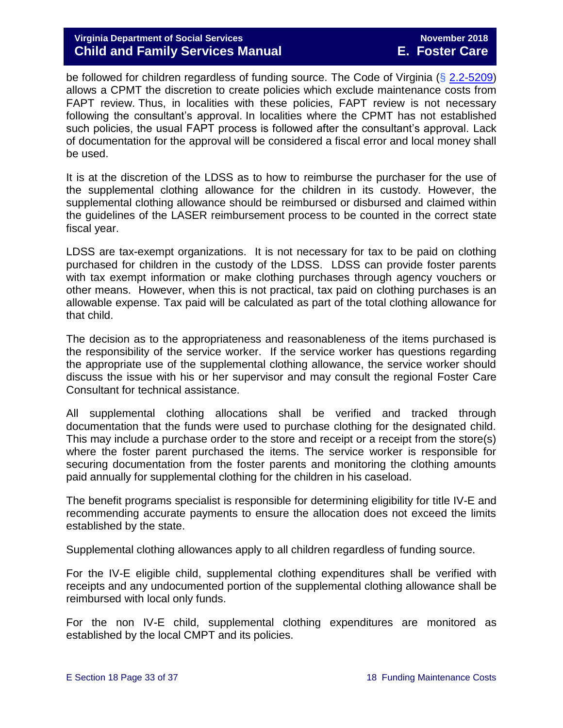be followed for children regardless of funding source. The Code of Virginia (§ [2.2-5209\)](http://law.lis.virginia.gov/vacode/2.2-5209/) allows a CPMT the discretion to create policies which exclude maintenance costs from FAPT review. Thus, in localities with these policies, FAPT review is not necessary following the consultant's approval. In localities where the CPMT has not established such policies, the usual FAPT process is followed after the consultant's approval. Lack of documentation for the approval will be considered a fiscal error and local money shall be used.

It is at the discretion of the LDSS as to how to reimburse the purchaser for the use of the supplemental clothing allowance for the children in its custody. However, the supplemental clothing allowance should be reimbursed or disbursed and claimed within the guidelines of the LASER reimbursement process to be counted in the correct state fiscal year.

LDSS are tax-exempt organizations. It is not necessary for tax to be paid on clothing purchased for children in the custody of the LDSS. LDSS can provide foster parents with tax exempt information or make clothing purchases through agency vouchers or other means. However, when this is not practical, tax paid on clothing purchases is an allowable expense. Tax paid will be calculated as part of the total clothing allowance for that child.

The decision as to the appropriateness and reasonableness of the items purchased is the responsibility of the service worker. If the service worker has questions regarding the appropriate use of the supplemental clothing allowance, the service worker should discuss the issue with his or her supervisor and may consult the regional Foster Care Consultant for technical assistance.

All supplemental clothing allocations shall be verified and tracked through documentation that the funds were used to purchase clothing for the designated child. This may include a purchase order to the store and receipt or a receipt from the store(s) where the foster parent purchased the items. The service worker is responsible for securing documentation from the foster parents and monitoring the clothing amounts paid annually for supplemental clothing for the children in his caseload.

The benefit programs specialist is responsible for determining eligibility for title IV-E and recommending accurate payments to ensure the allocation does not exceed the limits established by the state.

Supplemental clothing allowances apply to all children regardless of funding source.

For the IV-E eligible child, supplemental clothing expenditures shall be verified with receipts and any undocumented portion of the supplemental clothing allowance shall be reimbursed with local only funds.

For the non IV-E child, supplemental clothing expenditures are monitored as established by the local CMPT and its policies.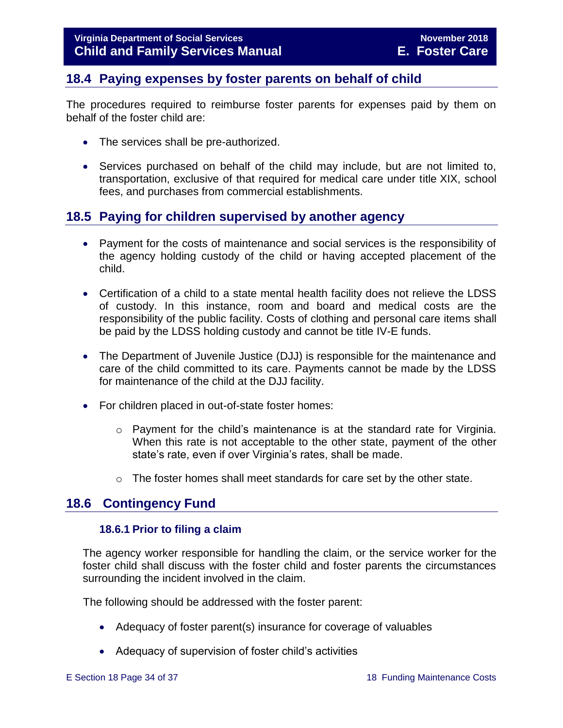# <span id="page-33-0"></span>**18.4 Paying expenses by foster parents on behalf of child**

The procedures required to reimburse foster parents for expenses paid by them on behalf of the foster child are:

- The services shall be pre-authorized.
- Services purchased on behalf of the child may include, but are not limited to, transportation, exclusive of that required for medical care under title XIX, school fees, and purchases from commercial establishments.

## <span id="page-33-1"></span>**18.5 Paying for children supervised by another agency**

- Payment for the costs of maintenance and social services is the responsibility of the agency holding custody of the child or having accepted placement of the child.
- Certification of a child to a state mental health facility does not relieve the LDSS of custody. In this instance, room and board and medical costs are the responsibility of the public facility. Costs of clothing and personal care items shall be paid by the LDSS holding custody and cannot be title IV-E funds.
- The Department of Juvenile Justice (DJJ) is responsible for the maintenance and care of the child committed to its care. Payments cannot be made by the LDSS for maintenance of the child at the DJJ facility.
- For children placed in out-of-state foster homes:
	- o Payment for the child's maintenance is at the standard rate for Virginia. When this rate is not acceptable to the other state, payment of the other state's rate, even if over Virginia's rates, shall be made.
	- $\circ$  The foster homes shall meet standards for care set by the other state.

#### <span id="page-33-3"></span>**18.6 Contingency Fund**

#### <span id="page-33-2"></span>**18.6.1 Prior to filing a claim**

The agency worker responsible for handling the claim, or the service worker for the foster child shall discuss with the foster child and foster parents the circumstances surrounding the incident involved in the claim.

The following should be addressed with the foster parent:

- Adequacy of foster parent(s) insurance for coverage of valuables
- Adequacy of supervision of foster child's activities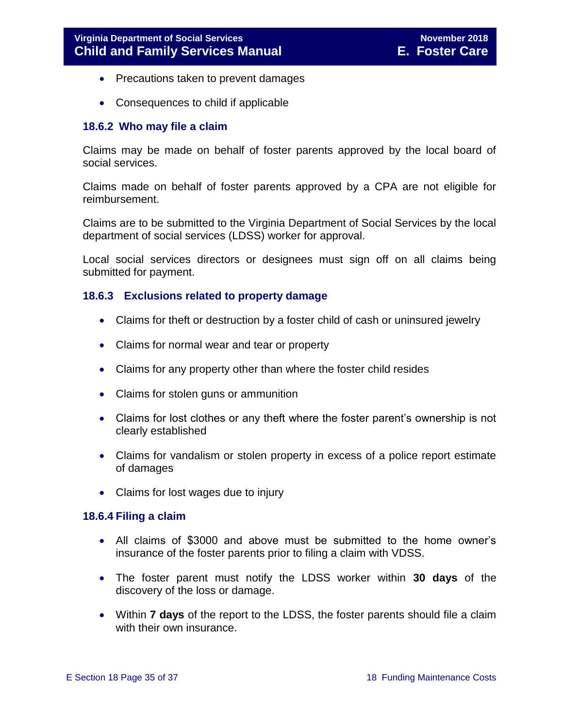- Precautions taken to prevent damages
- <span id="page-34-0"></span>• Consequences to child if applicable

#### **18.6.2 Who may file a claim**

Claims may be made on behalf of foster parents approved by the local board of social services.

Claims made on behalf of foster parents approved by a CPA are not eligible for reimbursement.

Claims are to be submitted to the Virginia Department of Social Services by the local department of social services (LDSS) worker for approval.

Local social services directors or designees must sign off on all claims being submitted for payment.

#### <span id="page-34-1"></span>**18.6.3 Exclusions related to property damage**

- Claims for theft or destruction by a foster child of cash or uninsured jewelry
- Claims for normal wear and tear or property
- Claims for any property other than where the foster child resides
- Claims for stolen guns or ammunition
- Claims for lost clothes or any theft where the foster parent's ownership is not clearly established
- Claims for vandalism or stolen property in excess of a police report estimate of damages
- Claims for lost wages due to injury

#### <span id="page-34-2"></span>**18.6.4 Filing a claim**

- All claims of \$3000 and above must be submitted to the home owner's insurance of the foster parents prior to filing a claim with VDSS.
- The foster parent must notify the LDSS worker within **30 days** of the discovery of the loss or damage.
- Within **7 days** of the report to the LDSS, the foster parents should file a claim with their own insurance.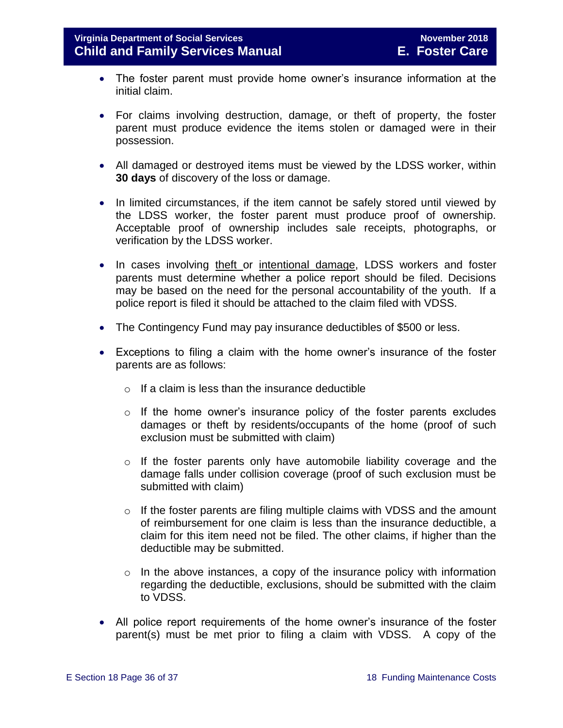- The foster parent must provide home owner's insurance information at the initial claim.
- For claims involving destruction, damage, or theft of property, the foster parent must produce evidence the items stolen or damaged were in their possession.
- All damaged or destroyed items must be viewed by the LDSS worker, within **30 days** of discovery of the loss or damage.
- In limited circumstances, if the item cannot be safely stored until viewed by the LDSS worker, the foster parent must produce proof of ownership. Acceptable proof of ownership includes sale receipts, photographs, or verification by the LDSS worker.
- In cases involving theft or intentional damage, LDSS workers and foster parents must determine whether a police report should be filed. Decisions may be based on the need for the personal accountability of the youth. If a police report is filed it should be attached to the claim filed with VDSS.
- The Contingency Fund may pay insurance deductibles of \$500 or less.
- Exceptions to filing a claim with the home owner's insurance of the foster parents are as follows:
	- $\circ$  If a claim is less than the insurance deductible
	- $\circ$  If the home owner's insurance policy of the foster parents excludes damages or theft by residents/occupants of the home (proof of such exclusion must be submitted with claim)
	- $\circ$  If the foster parents only have automobile liability coverage and the damage falls under collision coverage (proof of such exclusion must be submitted with claim)
	- o If the foster parents are filing multiple claims with VDSS and the amount of reimbursement for one claim is less than the insurance deductible, a claim for this item need not be filed. The other claims, if higher than the deductible may be submitted.
	- $\circ$  In the above instances, a copy of the insurance policy with information regarding the deductible, exclusions, should be submitted with the claim to VDSS.
- All police report requirements of the home owner's insurance of the foster parent(s) must be met prior to filing a claim with VDSS. A copy of the